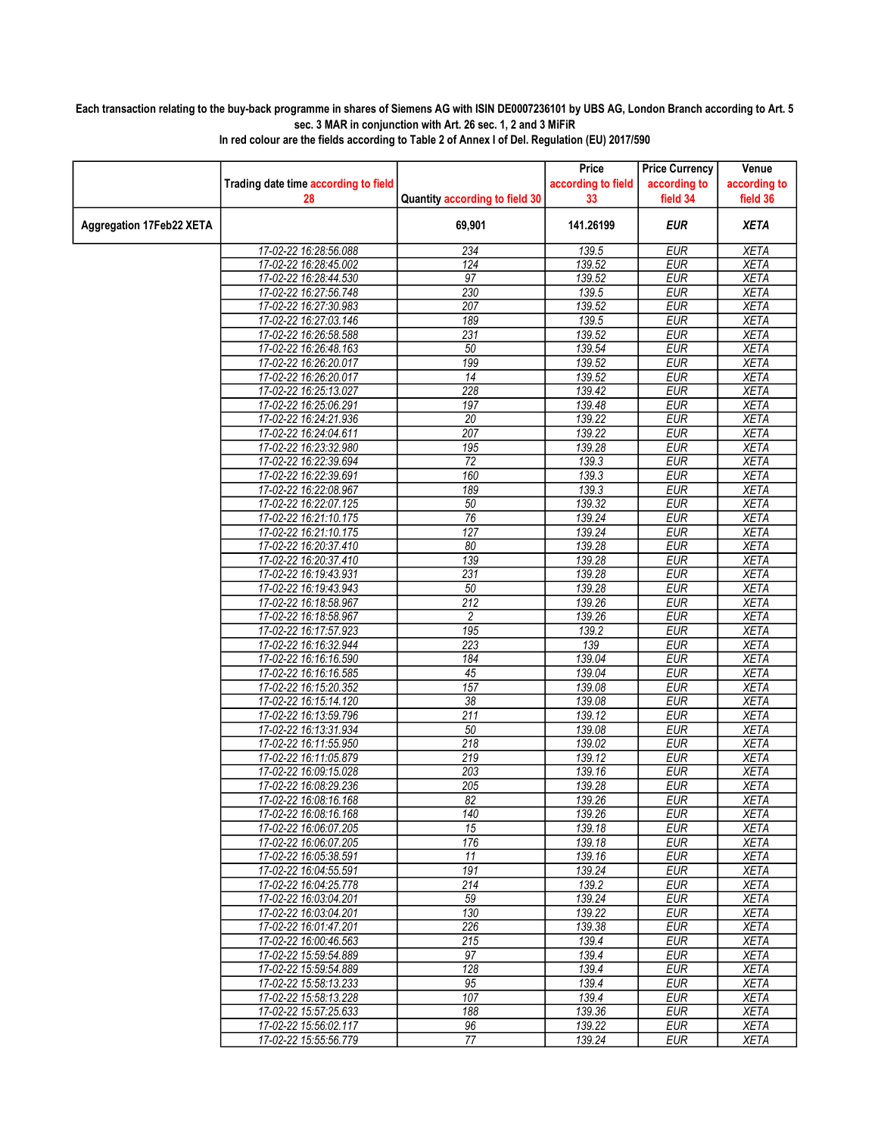## Each transaction relating to the buy-back programme in shares of Siemens AG with ISIN DE0007236101 by UBS AG, London Branch according to Art. 5 sec. 3 MAR in conjunction with Art. 26 sec. 1, 2 and 3 MiFiR

|                          |                                                |                                | Price                    | <b>Price Currency</b>    | Venue                      |
|--------------------------|------------------------------------------------|--------------------------------|--------------------------|--------------------------|----------------------------|
|                          | Trading date time according to field<br>28     | Quantity according to field 30 | according to field<br>33 | according to<br>field 34 | according to<br>field 36   |
| Aggregation 17Feb22 XETA |                                                | 69,901                         | 141.26199                | <b>EUR</b>               | <b>XETA</b>                |
|                          | 17-02-22 16:28:56.088                          | 234                            | 139.5                    | <b>EUR</b>               | <b>XETA</b>                |
|                          | 17-02-22 16:28:45.002                          | 124                            | 139.52                   | <b>EUR</b>               | <b>XETA</b>                |
|                          | 17-02-22 16:28:44.530                          | 97                             | 139.52                   | <b>EUR</b>               | <b>XETA</b>                |
|                          | 17-02-22 16:27:56.748                          | 230                            | 139.5                    | <b>EUR</b>               | <b>XETA</b>                |
|                          | 17-02-22 16:27:30.983                          | 207                            | 139.52                   | <b>EUR</b>               | <b>XETA</b>                |
|                          | 17-02-22 16:27:03.146                          | 189                            | 139.5                    | <b>EUR</b>               | <b>XETA</b>                |
|                          | 17-02-22 16:26:58.588                          | 231                            | 139.52                   | <b>EUR</b>               | <b>XETA</b>                |
|                          | 17-02-22 16:26:48.163                          | 50                             | 139.54                   | <b>EUR</b>               | <b>XETA</b>                |
|                          | 17-02-22 16:26:20.017                          | 199                            | 139.52                   | EUR                      | <b>XETA</b>                |
|                          | 17-02-22 16:26:20.017                          | 14                             | 139.52                   | <b>EUR</b>               | <b>XETA</b>                |
|                          | 17-02-22 16:25:13.027                          | 228                            | 139.42                   | <b>EUR</b>               | <b>XETA</b>                |
|                          | 17-02-22 16:25:06.291                          | 197                            | 139.48                   | <b>EUR</b>               | <b>XETA</b>                |
|                          | 17-02-22 16:24:21.936                          | 20                             | 139.22                   | <b>EUR</b>               | <b>XETA</b>                |
|                          | 17-02-22 16:24:04.611<br>17-02-22 16:23:32.980 | 207                            | 139.22                   | <b>EUR</b>               | <b>XETA</b>                |
|                          | 17-02-22 16:22:39.694                          | 195<br>72                      | 139.28<br>139.3          | <b>EUR</b><br><b>EUR</b> | <b>XETA</b><br><b>XETA</b> |
|                          | 17-02-22 16:22:39.691                          | 160                            | 139.3                    | <b>EUR</b>               | <b>XETA</b>                |
|                          | 17-02-22 16:22:08.967                          | 189                            | 139.3                    | <b>EUR</b>               | <b>XETA</b>                |
|                          | 17-02-22 16:22:07.125                          | 50                             | 139.32                   | <b>EUR</b>               | <b>XETA</b>                |
|                          | 17-02-22 16:21:10.175                          | 76                             | 139.24                   | <b>EUR</b>               | <b>XETA</b>                |
|                          | 17-02-22 16:21:10.175                          | 127                            | 139.24                   | <b>EUR</b>               | <b>XETA</b>                |
|                          | 17-02-22 16:20:37.410                          | 80                             | 139.28                   | <b>EUR</b>               | <b>XETA</b>                |
|                          | 17-02-22 16:20:37.410                          | 139                            | 139.28                   | <b>EUR</b>               | <b>XETA</b>                |
|                          | 17-02-22 16:19:43.931                          | 231                            | 139.28                   | <b>EUR</b>               | <b>XETA</b>                |
|                          | 17-02-22 16:19:43.943                          | 50                             | 139.28                   | <b>EUR</b>               | <b>XETA</b>                |
|                          | 17-02-22 16:18:58.967                          | $\overline{212}$               | 139.26                   | <b>EUR</b>               | <b>XETA</b>                |
|                          | 17-02-22 16:18:58.967                          | 2                              | 139.26                   | <b>EUR</b>               | <b>XETA</b>                |
|                          | 17-02-22 16:17:57.923                          | 195                            | 139.2                    | <b>EUR</b>               | <b>XETA</b>                |
|                          | 17-02-22 16:16:32.944                          | 223                            | 139                      | <b>EUR</b>               | <b>XETA</b>                |
|                          | 17-02-22 16:16:16.590                          | 184                            | 139.04                   | <b>EUR</b>               | <b>XETA</b>                |
|                          | 17-02-22 16:16:16.585                          | 45                             | 139.04                   | <b>EUR</b>               | <b>XETA</b>                |
|                          | 17-02-22 16:15:20.352                          | 157                            | 139.08                   | <b>EUR</b>               | <b>XETA</b>                |
|                          | 17-02-22 16:15:14.120                          | 38                             | 139.08                   | <b>EUR</b>               | <b>XETA</b>                |
|                          | 17-02-22 16:13:59.796                          | 211                            | 139.12                   | EUR                      | <b>XETA</b>                |
|                          | 17-02-22 16:13:31.934                          | 50                             | 139.08                   | <b>EUR</b>               | <b>XETA</b>                |
|                          | 17-02-22 16:11:55.950                          | 218                            | 139.02                   | <b>EUR</b>               | <b>XETA</b>                |
|                          | 17-02-22 16:11:05.879<br>17-02-22 16:09:15.028 | 219                            | 139.12                   | <b>EUR</b>               | <b>XETA</b>                |
|                          | 17-02-22 16:08:29.236                          | 203<br>205                     | 139.16<br>139.28         | <b>EUR</b><br><b>EUR</b> | <b>XETA</b><br><b>XETA</b> |
|                          | 17-02-22 16:08:16.168                          | $\overline{82}$                | 139.26                   | <b>EUR</b>               | <b>XETA</b>                |
|                          | 17-02-22 16:08:16.168                          | 140                            | 139.26                   | <b>EUR</b>               | <b>XETA</b>                |
|                          | 17-02-22 16:06:07.205                          | 15                             | 139.18                   | <b>EUR</b>               | <b>XETA</b>                |
|                          | 17-02-22 16:06:07.205                          | 176                            | 139.18                   | <b>EUR</b>               | <b>XETA</b>                |
|                          | 17-02-22 16:05:38.591                          | 11                             | 139.16                   | <b>EUR</b>               | <b>XETA</b>                |
|                          | 17-02-22 16:04:55.591                          | 191                            | 139.24                   | <b>EUR</b>               | <b>XETA</b>                |
|                          | 17-02-22 16:04:25.778                          | 214                            | 139.2                    | <b>EUR</b>               | <b>XETA</b>                |
|                          | 17-02-22 16:03:04.201                          | 59                             | 139.24                   | <b>EUR</b>               | <b>XETA</b>                |
|                          | 17-02-22 16:03:04.201                          | 130                            | 139.22                   | <b>EUR</b>               | <b>XETA</b>                |
|                          | 17-02-22 16:01:47.201                          | 226                            | 139.38                   | <b>EUR</b>               | XETA                       |
|                          | 17-02-22 16:00:46.563                          | $\overline{215}$               | 139.4                    | <b>EUR</b>               | <b>XETA</b>                |
|                          | 17-02-22 15:59:54.889                          | 97                             | 139.4                    | <b>EUR</b>               | <b>XETA</b>                |
|                          | 17-02-22 15:59:54.889                          | 128                            | 139.4                    | <b>EUR</b>               | <b>XETA</b>                |
|                          | 17-02-22 15:58:13.233                          | 95                             | 139.4                    | <b>EUR</b>               | <b>XETA</b>                |
|                          | 17-02-22 15:58:13.228                          | 107                            | 139.4                    | <b>EUR</b>               | <b>XETA</b>                |
|                          | 17-02-22 15:57:25.633<br>17-02-22 15:56:02.117 | 188<br>96                      | 139.36<br>139.22         | <b>EUR</b><br><b>EUR</b> | <b>XETA</b><br><b>XETA</b> |
|                          | 17-02-22 15:55:56.779                          | 77                             | 139.24                   | <b>EUR</b>               | <b>XETA</b>                |
|                          |                                                |                                |                          |                          |                            |

In red colour are the fields according to Table 2 of Annex I of Del. Regulation (EU) 2017/590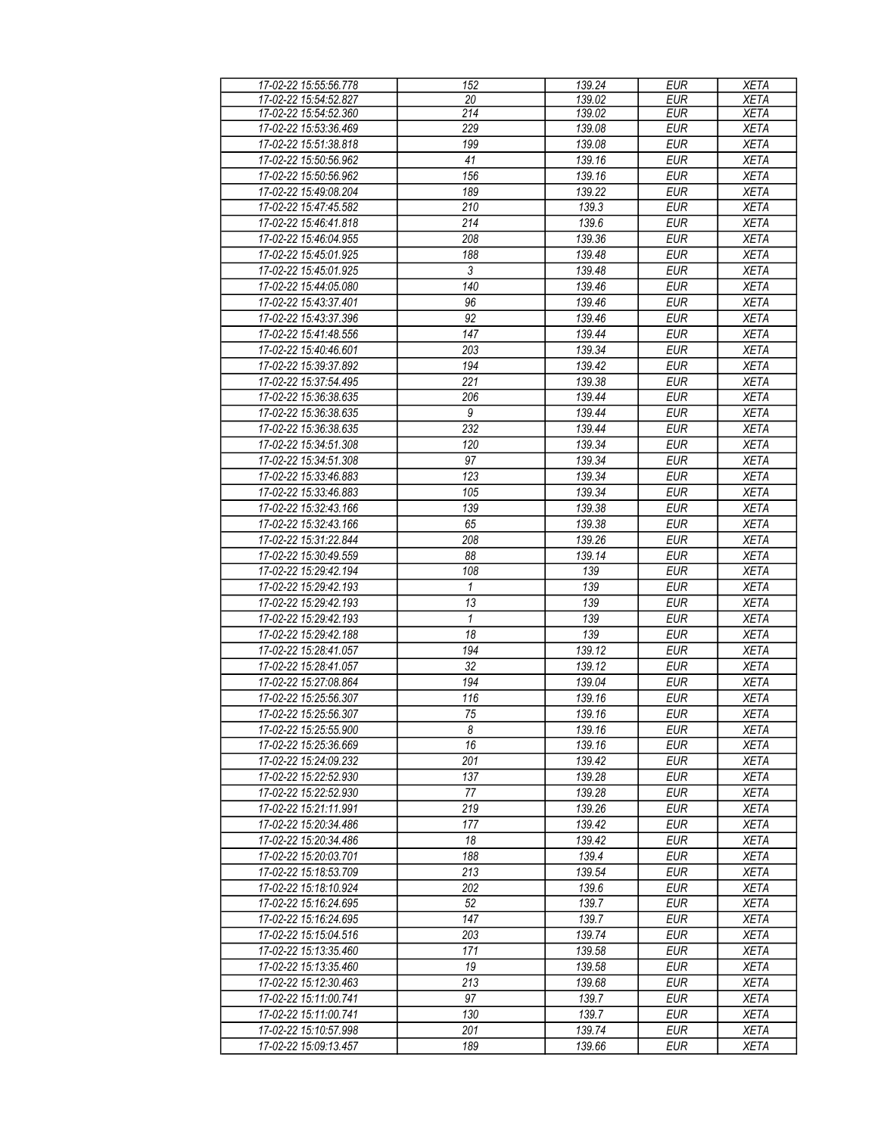| 17-02-22 15:55:56.778 | 152             | 139.24 | <b>EUR</b> | <b>XETA</b> |
|-----------------------|-----------------|--------|------------|-------------|
| 17-02-22 15:54:52.827 | 20              | 139.02 | <b>EUR</b> | <b>XETA</b> |
| 17-02-22 15:54:52.360 | 214             | 139.02 | <b>EUR</b> | <b>XETA</b> |
| 17-02-22 15:53:36.469 | 229             | 139.08 | <b>EUR</b> | <b>XETA</b> |
| 17-02-22 15:51:38.818 | 199             | 139.08 | <b>EUR</b> | <b>XETA</b> |
| 17-02-22 15:50:56.962 | 41              | 139.16 | <b>EUR</b> | <b>XETA</b> |
| 17-02-22 15:50:56.962 | 156             | 139.16 | <b>EUR</b> | <b>XETA</b> |
|                       |                 |        |            |             |
| 17-02-22 15:49:08.204 | 189             | 139.22 | <b>EUR</b> | <b>XETA</b> |
| 17-02-22 15:47:45.582 | 210             | 139.3  | <b>EUR</b> | <b>XETA</b> |
| 17-02-22 15:46:41.818 | 214             | 139.6  | <b>EUR</b> | <b>XETA</b> |
| 17-02-22 15:46:04.955 | 208             | 139.36 | <b>EUR</b> | <b>XETA</b> |
| 17-02-22 15:45:01.925 | 188             | 139.48 | <b>EUR</b> | <b>XETA</b> |
| 17-02-22 15:45:01.925 | $\overline{3}$  | 139.48 | <b>EUR</b> | <b>XETA</b> |
| 17-02-22 15:44:05.080 | 140             | 139.46 | <b>EUR</b> | <b>XETA</b> |
| 17-02-22 15:43:37.401 | 96              | 139.46 | <b>EUR</b> | <b>XETA</b> |
| 17-02-22 15:43:37.396 | 92              | 139.46 | EUR        | <b>XETA</b> |
| 17-02-22 15:41:48.556 | 147             | 139.44 | <b>EUR</b> | <b>XETA</b> |
| 17-02-22 15:40:46.601 | 203             | 139.34 | <b>EUR</b> | <b>XETA</b> |
| 17-02-22 15:39:37.892 | 194             | 139.42 | <b>EUR</b> | <b>XETA</b> |
| 17-02-22 15:37:54.495 | 221             | 139.38 | <b>EUR</b> | <b>XETA</b> |
| 17-02-22 15:36:38.635 | 206             | 139.44 | <b>EUR</b> | <b>XETA</b> |
|                       | 9               |        |            |             |
| 17-02-22 15:36:38.635 |                 | 139.44 | <b>EUR</b> | <b>XETA</b> |
| 17-02-22 15:36:38.635 | 232             | 139.44 | <b>EUR</b> | <b>XETA</b> |
| 17-02-22 15:34:51.308 | 120             | 139.34 | <b>EUR</b> | <b>XETA</b> |
| 17-02-22 15:34:51.308 | 97              | 139.34 | <b>EUR</b> | <b>XETA</b> |
| 17-02-22 15:33:46.883 | 123             | 139.34 | <b>EUR</b> | <b>XETA</b> |
| 17-02-22 15:33:46.883 | 105             | 139.34 | <b>EUR</b> | <b>XETA</b> |
| 17-02-22 15:32:43.166 | 139             | 139.38 | <b>EUR</b> | <b>XETA</b> |
| 17-02-22 15:32:43.166 | 65              | 139.38 | <b>EUR</b> | <b>XETA</b> |
| 17-02-22 15:31:22.844 | 208             | 139.26 | <b>EUR</b> | <b>XETA</b> |
| 17-02-22 15:30:49.559 | 88              | 139.14 | <b>EUR</b> | <b>XETA</b> |
| 17-02-22 15:29:42.194 | 108             | 139    | <b>EUR</b> | <b>XETA</b> |
| 17-02-22 15:29:42.193 | $\mathbf{1}$    | 139    | <b>EUR</b> | <b>XETA</b> |
| 17-02-22 15:29:42.193 | 13              | 139    | <b>EUR</b> | <b>XETA</b> |
| 17-02-22 15:29:42.193 | $\mathbf{1}$    | 139    | <b>EUR</b> | <b>XETA</b> |
| 17-02-22 15:29:42.188 | $\overline{18}$ | 139    | <b>EUR</b> | <b>XETA</b> |
| 17-02-22 15:28:41.057 | 194             | 139.12 | <b>EUR</b> | <b>XETA</b> |
| 17-02-22 15:28:41.057 | 32              | 139.12 | <b>EUR</b> | <b>XETA</b> |
| 17-02-22 15:27:08.864 |                 |        |            |             |
|                       | 194             | 139.04 | <b>EUR</b> | <b>XETA</b> |
| 17-02-22 15:25:56.307 | 116             | 139.16 | <b>EUR</b> | <b>XETA</b> |
| 17-02-22 15:25:56.307 | 75              | 139.16 | <b>EUR</b> | <b>XETA</b> |
| 17-02-22 15:25:55.900 | 8               | 139.16 | <b>EUR</b> | <b>XETA</b> |
| 17-02-22 15:25:36.669 | 16              | 139.16 | EUR        | <b>XETA</b> |
| 17-02-22 15:24:09.232 | 201             | 139.42 | <b>EUR</b> | <b>XETA</b> |
| 17-02-22 15:22:52.930 | 137             | 139.28 | <b>EUR</b> | <b>XETA</b> |
| 17-02-22 15:22:52.930 | 77              | 139.28 | <b>EUR</b> | <b>XETA</b> |
| 17-02-22 15:21:11.991 | 219             | 139.26 | <b>EUR</b> | <b>XETA</b> |
| 17-02-22 15:20:34.486 | 177             | 139.42 | <b>EUR</b> | <b>XETA</b> |
| 17-02-22 15:20:34.486 | 18              | 139.42 | <b>EUR</b> | <b>XETA</b> |
| 17-02-22 15:20:03.701 | 188             | 139.4  | <b>EUR</b> | <b>XETA</b> |
| 17-02-22 15:18:53.709 | 213             | 139.54 | <b>EUR</b> | <b>XETA</b> |
| 17-02-22 15:18:10.924 | 202             | 139.6  | <b>EUR</b> | <b>XETA</b> |
| 17-02-22 15:16:24.695 | 52              | 139.7  | <b>EUR</b> | <b>XETA</b> |
| 17-02-22 15:16:24.695 | 147             | 139.7  | <b>EUR</b> | <b>XETA</b> |
| 17-02-22 15:15:04.516 | 203             | 139.74 | <b>EUR</b> | <b>XETA</b> |
| 17-02-22 15:13:35.460 | 171             | 139.58 | <b>EUR</b> | <b>XETA</b> |
|                       |                 | 139.58 |            |             |
| 17-02-22 15:13:35.460 | 19              |        | <b>EUR</b> | <b>XETA</b> |
| 17-02-22 15:12:30.463 | 213             | 139.68 | <b>EUR</b> | <b>XETA</b> |
| 17-02-22 15:11:00.741 | 97              | 139.7  | <b>EUR</b> | <b>XETA</b> |
| 17-02-22 15:11:00.741 | 130             | 139.7  | <b>EUR</b> | <b>XETA</b> |
| 17-02-22 15:10:57.998 | 201             | 139.74 | <b>EUR</b> | <b>XETA</b> |
| 17-02-22 15:09:13.457 | 189             | 139.66 | <b>EUR</b> | <b>XETA</b> |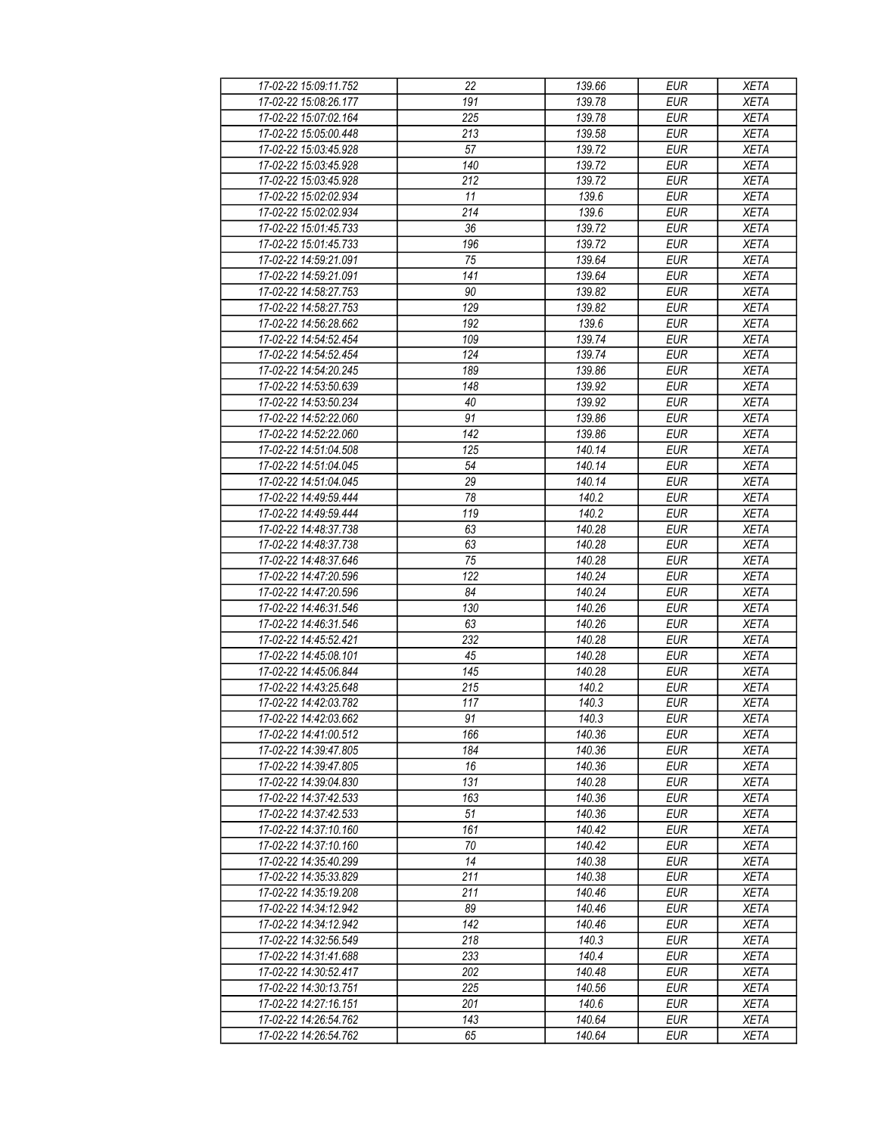| 17-02-22 15:09:11.752 | 22        | 139.66 | <b>EUR</b>       | <b>XETA</b> |
|-----------------------|-----------|--------|------------------|-------------|
| 17-02-22 15:08:26.177 | 191       | 139.78 | <b>EUR</b>       | <b>XETA</b> |
| 17-02-22 15:07:02.164 | 225       | 139.78 | <b>EUR</b>       | <b>XETA</b> |
| 17-02-22 15:05:00.448 | 213       | 139.58 | <b>EUR</b>       | <b>XETA</b> |
| 17-02-22 15:03:45.928 | 57        | 139.72 | <b>EUR</b>       | <b>XETA</b> |
| 17-02-22 15:03:45.928 | 140       | 139.72 | <b>EUR</b>       | <b>XETA</b> |
| 17-02-22 15:03:45.928 | 212       | 139.72 | <b>EUR</b>       | <b>XETA</b> |
| 17-02-22 15:02:02.934 | 11        | 139.6  | <b>EUR</b>       | <b>XETA</b> |
| 17-02-22 15:02:02.934 | 214       | 139.6  | <b>EUR</b>       | <b>XETA</b> |
| 17-02-22 15:01:45.733 | 36        | 139.72 | <b>EUR</b>       | <b>XETA</b> |
| 17-02-22 15:01:45.733 | 196       | 139.72 | <b>EUR</b>       | <b>XETA</b> |
| 17-02-22 14:59:21.091 | 75        | 139.64 | <b>EUR</b>       | <b>XETA</b> |
| 17-02-22 14:59:21.091 | 141       | 139.64 | <b>EUR</b>       | <b>XETA</b> |
| 17-02-22 14:58:27.753 | 90        | 139.82 | <b>EUR</b>       | <b>XETA</b> |
| 17-02-22 14:58:27.753 | 129       | 139.82 | <b>EUR</b>       | <b>XETA</b> |
| 17-02-22 14:56:28.662 | 192       | 139.6  | <b>EUR</b>       | <b>XETA</b> |
| 17-02-22 14:54:52.454 | 109       | 139.74 | EUR              | <b>XETA</b> |
| 17-02-22 14:54:52.454 | 124       | 139.74 | <b>EUR</b>       | <b>XETA</b> |
| 17-02-22 14:54:20.245 | 189       | 139.86 | <b>EUR</b>       | <b>XETA</b> |
|                       |           |        |                  |             |
| 17-02-22 14:53:50.639 | 148<br>40 | 139.92 | <b>EUR</b>       | <b>XETA</b> |
| 17-02-22 14:53:50.234 |           | 139.92 | <b>EUR</b>       | <b>XETA</b> |
| 17-02-22 14:52:22.060 | 91        | 139.86 | <b>EUR</b>       | <b>XETA</b> |
| 17-02-22 14:52:22.060 | 142       | 139.86 | <b>EUR</b>       | <b>XETA</b> |
| 17-02-22 14:51:04.508 | 125       | 140.14 | <b>EUR</b>       | XETA        |
| 17-02-22 14:51:04.045 | 54        | 140.14 | <b>EUR</b>       | <b>XETA</b> |
| 17-02-22 14:51:04.045 | 29        | 140.14 | <b>EUR</b>       | <b>XETA</b> |
| 17-02-22 14:49:59.444 | 78        | 140.2  | <b>EUR</b>       | <b>XETA</b> |
| 17-02-22 14:49:59.444 | 119       | 140.2  | <b>EUR</b>       | <b>XETA</b> |
| 17-02-22 14:48:37.738 | 63        | 140.28 | <b>EUR</b>       | <b>XETA</b> |
| 17-02-22 14:48:37.738 | 63        | 140.28 | <b>EUR</b>       | <b>XETA</b> |
| 17-02-22 14:48:37.646 | 75        | 140.28 | <b>EUR</b>       | <b>XETA</b> |
| 17-02-22 14:47:20.596 | 122       | 140.24 | <b>EUR</b>       | <b>XETA</b> |
| 17-02-22 14:47:20.596 | 84        | 140.24 | <b>EUR</b>       | <b>XETA</b> |
| 17-02-22 14:46:31.546 | 130       | 140.26 | <b>EUR</b>       | <b>XETA</b> |
| 17-02-22 14:46:31.546 | 63        | 140.26 | $E\overline{UR}$ | <b>XETA</b> |
| 17-02-22 14:45:52.421 | 232       | 140.28 | <b>EUR</b>       | <b>XETA</b> |
| 17-02-22 14:45:08.101 | 45        | 140.28 | <b>EUR</b>       | <b>XETA</b> |
| 17-02-22 14:45:06.844 | 145       | 140.28 | <b>EUR</b>       | <b>XETA</b> |
| 17-02-22 14:43:25.648 | 215       | 140.2  | <b>EUR</b>       | <b>XETA</b> |
| 17-02-22 14:42:03.782 | 117       | 140.3  | <b>EUR</b>       | <b>XETA</b> |
| 17-02-22 14:42:03.662 | 91        | 140.3  | <b>EUR</b>       | <b>XETA</b> |
| 17-02-22 14:41:00.512 | 166       | 140.36 | <b>EUR</b>       | <b>XETA</b> |
| 17-02-22 14:39:47.805 | 184       | 140.36 | <b>EUR</b>       | <b>XETA</b> |
| 17-02-22 14:39:47.805 | 16        | 140.36 | <b>EUR</b>       | <b>XETA</b> |
| 17-02-22 14:39:04.830 | 131       | 140.28 | <b>EUR</b>       | <b>XETA</b> |
| 17-02-22 14:37:42.533 | 163       | 140.36 | <b>EUR</b>       | <b>XETA</b> |
| 17-02-22 14:37:42.533 | 51        | 140.36 | <b>EUR</b>       | <b>XETA</b> |
| 17-02-22 14:37:10.160 | 161       | 140.42 | <b>EUR</b>       | <b>XETA</b> |
| 17-02-22 14:37:10.160 | 70        | 140.42 | <b>EUR</b>       | <b>XETA</b> |
| 17-02-22 14:35:40.299 | 14        | 140.38 | <b>EUR</b>       | <b>XETA</b> |
| 17-02-22 14:35:33.829 | 211       | 140.38 | <b>EUR</b>       | <b>XETA</b> |
| 17-02-22 14:35:19.208 | 211       | 140.46 | <b>EUR</b>       | <b>XETA</b> |
| 17-02-22 14:34:12.942 | 89        | 140.46 | <b>EUR</b>       | <b>XETA</b> |
| 17-02-22 14:34:12.942 | 142       | 140.46 | <b>EUR</b>       | <b>XETA</b> |
| 17-02-22 14:32:56.549 | 218       | 140.3  | <b>EUR</b>       | <b>XETA</b> |
| 17-02-22 14:31:41.688 | 233       | 140.4  | <b>EUR</b>       | <b>XETA</b> |
| 17-02-22 14:30:52.417 | 202       | 140.48 | <b>EUR</b>       | <b>XETA</b> |
| 17-02-22 14:30:13.751 | 225       | 140.56 | <b>EUR</b>       | <b>XETA</b> |
| 17-02-22 14:27:16.151 | 201       | 140.6  | <b>EUR</b>       | <b>XETA</b> |
| 17-02-22 14:26:54.762 | 143       | 140.64 | <b>EUR</b>       | <b>XETA</b> |
| 17-02-22 14:26:54.762 | 65        | 140.64 | <b>EUR</b>       | <b>XETA</b> |
|                       |           |        |                  |             |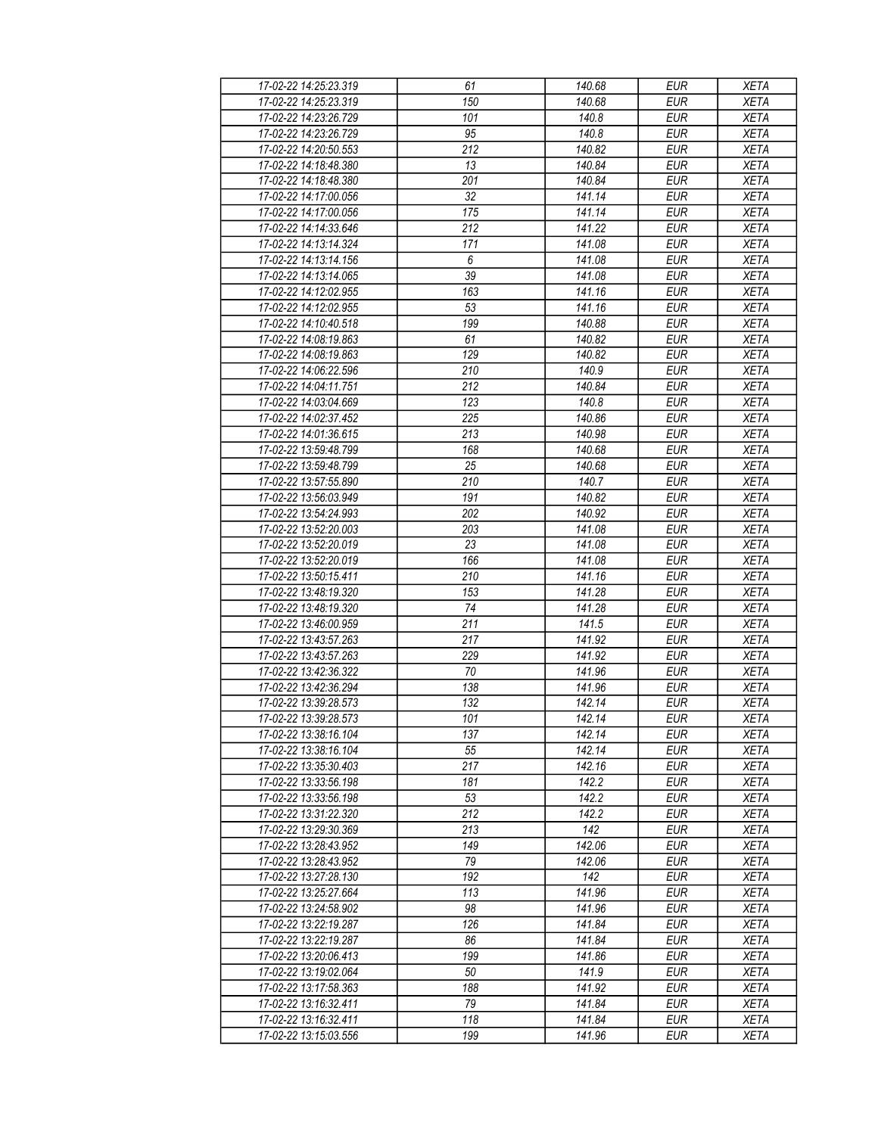| 17-02-22 14:25:23.319                          | 61               | 140.68           | <b>EUR</b>               | <b>XETA</b>                |
|------------------------------------------------|------------------|------------------|--------------------------|----------------------------|
| 17-02-22 14:25:23.319                          | 150              | 140.68           | <b>EUR</b>               | <b>XETA</b>                |
| 17-02-22 14:23:26.729                          | 101              | 140.8            | <b>EUR</b>               | <b>XETA</b>                |
| 17-02-22 14:23:26.729                          | 95               | 140.8            | <b>EUR</b>               | <b>XETA</b>                |
| 17-02-22 14:20:50.553                          | 212              | 140.82           | <b>EUR</b>               | <b>XETA</b>                |
| 17-02-22 14:18:48.380                          | 13               | 140.84           | <b>EUR</b>               | <b>XETA</b>                |
| 17-02-22 14:18:48.380                          | 201              | 140.84           | <b>EUR</b>               | <b>XETA</b>                |
| 17-02-22 14:17:00.056                          | 32               | 141.14           | <b>EUR</b>               | <b>XETA</b>                |
| 17-02-22 14:17:00.056                          | 175              | 141.14           | <b>EUR</b>               | <b>XETA</b>                |
| 17-02-22 14:14:33.646                          | 212              | 141.22           | <b>EUR</b>               | <b>XETA</b>                |
| 17-02-22 14:13:14.324                          | 171              | 141.08           | <b>EUR</b>               | <b>XETA</b>                |
| 17-02-22 14:13:14.156                          | 6                | 141.08           | <b>EUR</b>               | <b>XETA</b>                |
| 17-02-22 14:13:14.065                          | 39               | 141.08           | <b>EUR</b>               | <b>XETA</b>                |
| 17-02-22 14:12:02.955                          | 163              | 141.16           | <b>EUR</b>               | <b>XETA</b>                |
| 17-02-22 14:12:02.955                          | $\overline{53}$  | 141.16           | <b>EUR</b>               | <b>XETA</b>                |
| 17-02-22 14:10:40.518                          | 199              | 140.88           | <b>EUR</b>               | <b>XETA</b>                |
| 17-02-22 14:08:19.863                          | 61               | 140.82           | <b>EUR</b>               | <b>XETA</b>                |
| 17-02-22 14:08:19.863                          | 129              | 140.82           | <b>EUR</b>               | <b>XETA</b>                |
| 17-02-22 14:06:22.596                          | 210              | 140.9            | <b>EUR</b>               | <b>XETA</b>                |
| 17-02-22 14:04:11.751                          | 212              | 140.84           | <b>EUR</b>               | <b>XETA</b>                |
| 17-02-22 14:03:04.669                          | 123              | 140.8            | <b>EUR</b>               | <b>XETA</b>                |
| 17-02-22 14:02:37.452                          | 225              | 140.86           | <b>EUR</b>               | <b>XETA</b>                |
| 17-02-22 14:01:36.615                          | 213              | 140.98           | <b>EUR</b>               | <b>XETA</b>                |
| 17-02-22 13:59:48.799                          | 168              | 140.68           | <b>EUR</b>               | <b>XETA</b>                |
| 17-02-22 13:59:48.799                          | 25               | 140.68           | <b>EUR</b>               | <b>XETA</b>                |
| 17-02-22 13:57:55.890                          | 210              | 140.7            | <b>EUR</b>               | <b>XETA</b>                |
| 17-02-22 13:56:03.949                          | 191              | 140.82           | <b>EUR</b>               | <b>XETA</b>                |
| 17-02-22 13:54:24.993                          | 202              | 140.92           | <b>EUR</b>               | <b>XETA</b>                |
| 17-02-22 13:52:20.003                          | 203              | 141.08           | <b>EUR</b>               | <b>XETA</b>                |
| 17-02-22 13:52:20.019                          | 23               | 141.08           | <b>EUR</b>               | <b>XETA</b>                |
| 17-02-22 13:52:20.019                          | 166              | 141.08           | <b>EUR</b>               | <b>XETA</b>                |
| 17-02-22 13:50:15.411                          | 210              | 141.16           | <b>EUR</b>               | <b>XETA</b>                |
| 17-02-22 13:48:19.320                          | 153              | 141.28           | <b>EUR</b>               | <b>XETA</b>                |
| 17-02-22 13:48:19.320                          | 74               | 141.28           | <b>EUR</b>               | <b>XETA</b>                |
| 17-02-22 13:46:00.959                          | $\overline{211}$ | 141.5            | <b>EUR</b>               | <b>XETA</b>                |
| 17-02-22 13:43:57.263                          | 217              | 141.92           | <b>EUR</b>               | <b>XETA</b>                |
| 17-02-22 13:43:57.263                          | 229              | 141.92           | <b>EUR</b>               | <b>XETA</b>                |
| 17-02-22 13:42:36.322                          | 70               | 141.96           | <b>EUR</b>               |                            |
| 17-02-22 13:42:36.294                          | 138              | 141.96           | <b>EUR</b>               | <b>XETA</b><br><b>XETA</b> |
| 17-02-22 13:39:28.573                          | $\overline{132}$ | 142.14           | <b>EUR</b>               | <b>XETA</b>                |
| 17-02-22 13:39:28.573                          | 101              | 142.14           | EUR                      | <b>XETA</b>                |
| 17-02-22 13:38:16.104                          | 137              | 142.14           | <b>EUR</b>               | <b>XETA</b>                |
|                                                |                  |                  |                          |                            |
| 17-02-22 13:38:16.104<br>17-02-22 13:35:30.403 | 55<br>217        | 142.14<br>142.16 | <b>EUR</b><br><b>EUR</b> | <b>XETA</b><br><b>XETA</b> |
|                                                |                  |                  |                          |                            |
| 17-02-22 13:33:56.198<br>17-02-22 13:33:56.198 | 181<br>53        | 142.2<br>142.2   | <b>EUR</b><br><b>EUR</b> | <b>XETA</b><br><b>XETA</b> |
| 17-02-22 13:31:22.320                          |                  | 142.2            |                          |                            |
| 17-02-22 13:29:30.369                          | 212              | 142              | <b>EUR</b><br><b>EUR</b> | <b>XETA</b>                |
| 17-02-22 13:28:43.952                          | 213<br>149       | 142.06           | <b>EUR</b>               | <b>XETA</b><br><b>XETA</b> |
| 17-02-22 13:28:43.952                          |                  | 142.06           | <b>EUR</b>               |                            |
|                                                | 79<br>192        | 142              | <b>EUR</b>               | <b>XETA</b>                |
| 17-02-22 13:27:28.130                          | 113              |                  |                          | <b>XETA</b>                |
| 17-02-22 13:25:27.664                          |                  | 141.96           | <b>EUR</b>               | <b>XETA</b>                |
| 17-02-22 13:24:58.902                          | 98               | 141.96           | <b>EUR</b>               | <b>XETA</b>                |
| 17-02-22 13:22:19.287                          | 126              | 141.84           | <b>EUR</b>               | <b>XETA</b>                |
| 17-02-22 13:22:19.287                          | 86               | 141.84           | <b>EUR</b>               | <b>XETA</b>                |
| 17-02-22 13:20:06.413                          | 199              | 141.86           | <b>EUR</b>               | <b>XETA</b>                |
| 17-02-22 13:19:02.064                          | 50               | 141.9            | <b>EUR</b>               | <b>XETA</b>                |
| 17-02-22 13:17:58.363                          | 188              | 141.92           | <b>EUR</b>               | <b>XETA</b>                |
| 17-02-22 13:16:32.411                          | 79               | 141.84           | <b>EUR</b>               | <b>XETA</b>                |
| 17-02-22 13:16:32.411                          | 118              | 141.84           | <b>EUR</b>               | <b>XETA</b>                |
| 17-02-22 13:15:03.556                          | 199              | 141.96           | <b>EUR</b>               | <b>XETA</b>                |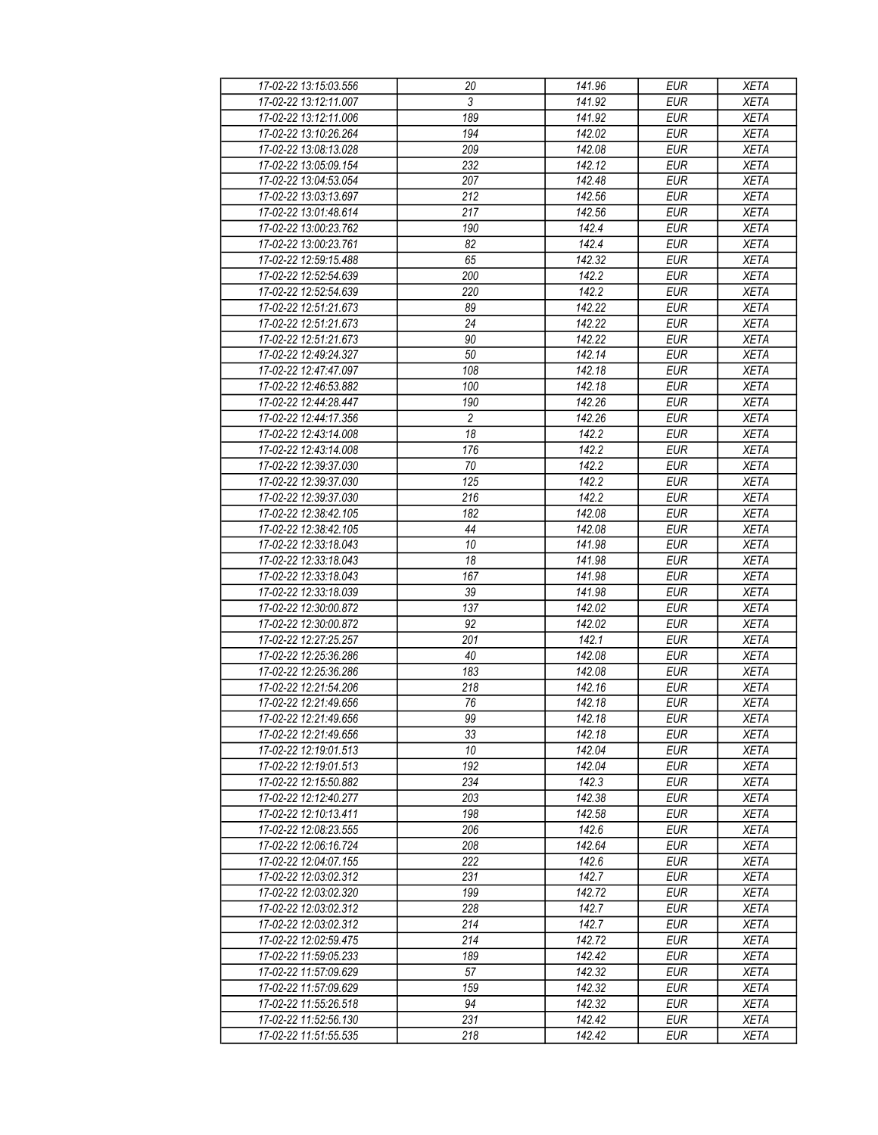| 17-02-22 13:15:03.556                          | 20              | 141.96 | <b>EUR</b> | <b>XETA</b> |
|------------------------------------------------|-----------------|--------|------------|-------------|
| 17-02-22 13:12:11.007                          | 3               | 141.92 | <b>EUR</b> | <b>XETA</b> |
| 17-02-22 13:12:11.006                          | 189             | 141.92 | <b>EUR</b> | <b>XETA</b> |
| 17-02-22 13:10:26.264                          | 194             | 142.02 | <b>EUR</b> | <b>XETA</b> |
| 17-02-22 13:08:13.028                          | 209             | 142.08 | <b>EUR</b> | <b>XETA</b> |
| 17-02-22 13:05:09.154                          | 232             | 142.12 | <b>EUR</b> | <b>XETA</b> |
| 17-02-22 13:04:53.054                          | 207             | 142.48 | <b>EUR</b> | <b>XETA</b> |
| 17-02-22 13:03:13.697                          | 212             | 142.56 | <b>EUR</b> | <b>XETA</b> |
| 17-02-22 13:01:48.614                          | 217             | 142.56 | <b>EUR</b> | <b>XETA</b> |
| 17-02-22 13:00:23.762                          | 190             | 142.4  | <b>EUR</b> | <b>XETA</b> |
| 17-02-22 13:00:23.761                          | 82              | 142.4  | <b>EUR</b> | <b>XETA</b> |
| 17-02-22 12:59:15.488                          | 65              | 142.32 | <b>EUR</b> | <b>XETA</b> |
| 17-02-22 12:52:54.639                          | 200             | 142.2  | <b>EUR</b> | <b>XETA</b> |
| 17-02-22 12:52:54.639                          | 220             | 142.2  | <b>EUR</b> | <b>XETA</b> |
| 17-02-22 12:51:21.673                          | 89              | 142.22 | EUR        | <b>XETA</b> |
| 17-02-22 12:51:21.673                          | 24              | 142.22 | <b>EUR</b> | <b>XETA</b> |
| 17-02-22 12:51:21.673                          | 90              | 142.22 | EUR        | <b>XETA</b> |
| 17-02-22 12:49:24.327                          | 50              | 142.14 | <b>EUR</b> | <b>XETA</b> |
| 17-02-22 12:47:47.097                          | 108             | 142.18 | <b>EUR</b> | <b>XETA</b> |
|                                                |                 |        |            |             |
| 17-02-22 12:46:53.882<br>17-02-22 12:44:28.447 | 100<br>190      | 142.18 | <b>EUR</b> | <b>XETA</b> |
|                                                |                 | 142.26 | <b>EUR</b> | <b>XETA</b> |
| 17-02-22 12:44:17.356                          | $\overline{2}$  | 142.26 | <b>EUR</b> | <b>XETA</b> |
| 17-02-22 12:43:14.008                          | 18              | 142.2  | <b>EUR</b> | <b>XETA</b> |
| 17-02-22 12:43:14.008                          | 176             | 142.2  | <b>EUR</b> | <b>XETA</b> |
| 17-02-22 12:39:37.030                          | 70              | 142.2  | <b>EUR</b> | <b>XETA</b> |
| 17-02-22 12:39:37.030                          | 125             | 142.2  | EUR        | <b>XETA</b> |
| 17-02-22 12:39:37.030                          | 216             | 142.2  | <b>EUR</b> | <b>XETA</b> |
| 17-02-22 12:38:42.105                          | 182             | 142.08 | <b>EUR</b> | <b>XETA</b> |
| 17-02-22 12:38:42.105                          | 44              | 142.08 | <b>EUR</b> | <b>XETA</b> |
| 17-02-22 12:33:18.043                          | 10              | 141.98 | <b>EUR</b> | <b>XETA</b> |
| 17-02-22 12:33:18.043                          | 18              | 141.98 | <b>EUR</b> | <b>XETA</b> |
| 17-02-22 12:33:18.043                          | 167             | 141.98 | <b>EUR</b> | <b>XETA</b> |
| 17-02-22 12:33:18.039                          | 39              | 141.98 | <b>EUR</b> | <b>XETA</b> |
| 17-02-22 12:30:00.872                          | 137             | 142.02 | <b>EUR</b> | <b>XETA</b> |
| 17-02-22 12:30:00.872                          | 92              | 142.02 | <b>EUR</b> | <b>XETA</b> |
| 17-02-22 12:27:25.257                          | 201             | 142.1  | <b>EUR</b> | <b>XETA</b> |
| 17-02-22 12:25:36.286                          | 40              | 142.08 | <b>EUR</b> | <b>XETA</b> |
| 17-02-22 12:25:36.286                          | 183             | 142.08 | <b>EUR</b> | <b>XETA</b> |
| 17-02-22 12:21:54.206                          | 218             | 142.16 | <b>EUR</b> | <b>XETA</b> |
| 17-02-22 12:21:49.656                          | $\overline{76}$ | 142.18 | <b>EUR</b> | <b>XETA</b> |
| 17-02-22 12:21:49.656                          | 99              | 142.18 | <b>EUR</b> | <b>XETA</b> |
| 17-02-22 12:21:49.656                          | 33              | 142.18 | <b>EUR</b> | <b>XETA</b> |
| 17-02-22 12:19:01.513                          | 10              | 142.04 | <b>EUR</b> | <b>XETA</b> |
| 17-02-22 12:19:01.513                          | 192             | 142.04 | <b>EUR</b> | <b>XETA</b> |
| 17-02-22 12:15:50.882                          | 234             | 142.3  | <b>EUR</b> | <b>XETA</b> |
| 17-02-22 12:12:40.277                          | 203             | 142.38 | <b>EUR</b> | <b>XETA</b> |
| 17-02-22 12:10:13.411                          | 198             | 142.58 | <b>EUR</b> | <b>XETA</b> |
| 17-02-22 12:08:23.555                          | 206             | 142.6  | <b>EUR</b> | <b>XETA</b> |
| 17-02-22 12:06:16.724                          | 208             | 142.64 | <b>EUR</b> | <b>XETA</b> |
| 17-02-22 12:04:07.155                          | 222             | 142.6  | <b>EUR</b> | <b>XETA</b> |
| 17-02-22 12:03:02.312                          | 231             | 142.7  | <b>EUR</b> | <b>XETA</b> |
| 17-02-22 12:03:02.320                          | 199             | 142.72 | <b>EUR</b> | <b>XETA</b> |
| 17-02-22 12:03:02.312                          | 228             | 142.7  | <b>EUR</b> | <b>XETA</b> |
| 17-02-22 12:03:02.312                          | 214             | 142.7  | <b>EUR</b> | <b>XETA</b> |
| 17-02-22 12:02:59.475                          | 214             | 142.72 | <b>EUR</b> | <b>XETA</b> |
| 17-02-22 11:59:05.233                          | 189             | 142.42 | <b>EUR</b> | <b>XETA</b> |
| 17-02-22 11:57:09.629                          | 57              | 142.32 | <b>EUR</b> | <b>XETA</b> |
| 17-02-22 11:57:09.629                          | 159             | 142.32 | <b>EUR</b> | <b>XETA</b> |
| 17-02-22 11:55:26.518                          | 94              | 142.32 | <b>EUR</b> | <b>XETA</b> |
| 17-02-22 11:52:56.130                          | 231             | 142.42 | <b>EUR</b> | <b>XETA</b> |
| 17-02-22 11:51:55.535                          | 218             | 142.42 | <b>EUR</b> | <b>XETA</b> |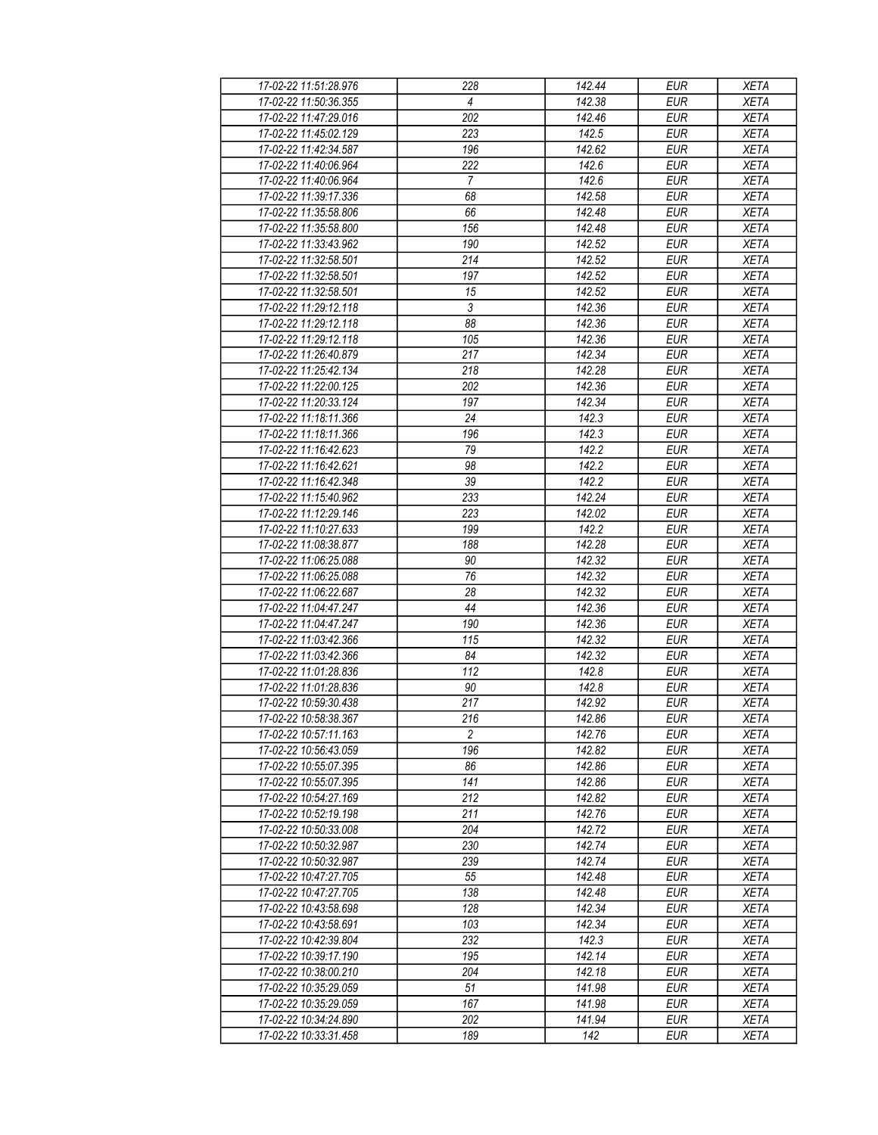| 17-02-22 11:51:28.976 | 228             | 142.44 | <b>EUR</b> | <b>XETA</b> |
|-----------------------|-----------------|--------|------------|-------------|
| 17-02-22 11:50:36.355 | 4               | 142.38 | <b>EUR</b> | <b>XETA</b> |
| 17-02-22 11:47:29.016 | 202             | 142.46 | <b>EUR</b> | <b>XETA</b> |
| 17-02-22 11:45:02.129 | 223             | 142.5  | <b>EUR</b> | <b>XETA</b> |
| 17-02-22 11:42:34.587 | 196             | 142.62 | <b>EUR</b> | <b>XETA</b> |
| 17-02-22 11:40:06.964 | 222             | 142.6  | <b>EUR</b> | <b>XETA</b> |
| 17-02-22 11:40:06.964 | $\overline{7}$  | 142.6  | <b>EUR</b> | <b>XETA</b> |
| 17-02-22 11:39:17.336 | 68              | 142.58 | <b>EUR</b> | <b>XETA</b> |
| 17-02-22 11:35:58.806 | 66              | 142.48 | <b>EUR</b> | <b>XETA</b> |
| 17-02-22 11:35:58.800 | 156             | 142.48 | <b>EUR</b> | <b>XETA</b> |
| 17-02-22 11:33:43.962 | 190             | 142.52 | <b>EUR</b> | <b>XETA</b> |
| 17-02-22 11:32:58.501 | 214             | 142.52 | <b>EUR</b> | <b>XETA</b> |
| 17-02-22 11:32:58.501 | 197             | 142.52 | <b>EUR</b> | <b>XETA</b> |
| 17-02-22 11:32:58.501 | 15              | 142.52 | <b>EUR</b> | <b>XETA</b> |
| 17-02-22 11:29:12.118 | $\overline{3}$  | 142.36 | <b>EUR</b> | <b>XETA</b> |
| 17-02-22 11:29:12.118 | 88              | 142.36 | <b>EUR</b> | <b>XETA</b> |
| 17-02-22 11:29:12.118 | 105             | 142.36 | <b>EUR</b> | <b>XETA</b> |
| 17-02-22 11:26:40.879 | 217             | 142.34 | <b>EUR</b> | <b>XETA</b> |
| 17-02-22 11:25:42.134 | 218             | 142.28 | <b>EUR</b> | <b>XETA</b> |
| 17-02-22 11:22:00.125 | 202             | 142.36 | <b>EUR</b> | <b>XETA</b> |
| 17-02-22 11:20:33.124 | 197             | 142.34 | <b>EUR</b> | <b>XETA</b> |
| 17-02-22 11:18:11.366 | 24              | 142.3  | <b>EUR</b> | <b>XETA</b> |
| 17-02-22 11:18:11.366 | 196             | 142.3  | <b>EUR</b> | <b>XETA</b> |
| 17-02-22 11:16:42.623 | 79              | 142.2  | <b>EUR</b> | <b>XETA</b> |
| 17-02-22 11:16:42.621 | 98              | 142.2  | <b>EUR</b> | <b>XETA</b> |
| 17-02-22 11:16:42.348 | $\overline{39}$ | 142.2  | <b>EUR</b> | <b>XETA</b> |
| 17-02-22 11:15:40.962 | 233             | 142.24 | <b>EUR</b> | <b>XETA</b> |
| 17-02-22 11:12:29.146 | 223             | 142.02 | <b>EUR</b> | <b>XETA</b> |
| 17-02-22 11:10:27.633 | 199             | 142.2  | <b>EUR</b> | <b>XETA</b> |
| 17-02-22 11:08:38.877 | 188             | 142.28 | <b>EUR</b> | <b>XETA</b> |
| 17-02-22 11:06:25.088 | 90              | 142.32 | <b>EUR</b> | <b>XETA</b> |
| 17-02-22 11:06:25.088 | 76              | 142.32 | <b>EUR</b> | <b>XETA</b> |
| 17-02-22 11:06:22.687 | $\overline{28}$ | 142.32 | <b>EUR</b> | <b>XETA</b> |
| 17-02-22 11:04:47.247 | 44              | 142.36 | <b>EUR</b> | <b>XETA</b> |
| 17-02-22 11:04:47.247 | 190             | 142.36 | <b>EUR</b> | <b>XETA</b> |
| 17-02-22 11:03:42.366 | 115             | 142.32 | <b>EUR</b> | <b>XETA</b> |
| 17-02-22 11:03:42.366 | 84              | 142.32 | <b>EUR</b> | <b>XETA</b> |
| 17-02-22 11:01:28.836 | 112             | 142.8  | <b>EUR</b> | <b>XETA</b> |
| 17-02-22 11:01:28.836 | 90              | 142.8  | <b>EUR</b> | <b>XETA</b> |
| 17-02-22 10:59:30.438 | 217             | 142.92 | <b>EUR</b> | <b>XETA</b> |
| 17-02-22 10:58:38.367 | 216             | 142.86 | <b>EUR</b> | <b>XETA</b> |
| 17-02-22 10:57:11.163 | $\overline{c}$  | 142.76 | <b>EUR</b> | <b>XETA</b> |
| 17-02-22 10:56:43.059 | 196             | 142.82 | <b>EUR</b> | <b>XETA</b> |
| 17-02-22 10:55:07.395 | 86              | 142.86 | <b>EUR</b> | <b>XETA</b> |
| 17-02-22 10:55:07.395 | 141             | 142.86 | <b>EUR</b> | <b>XETA</b> |
| 17-02-22 10:54:27.169 | 212             | 142.82 | <b>EUR</b> | <b>XETA</b> |
| 17-02-22 10:52:19.198 | 211             | 142.76 | <b>EUR</b> | <b>XETA</b> |
| 17-02-22 10:50:33.008 | 204             | 142.72 | <b>EUR</b> | <b>XETA</b> |
| 17-02-22 10:50:32.987 | 230             | 142.74 | <b>EUR</b> | <b>XETA</b> |
| 17-02-22 10:50:32.987 | 239             | 142.74 | <b>EUR</b> | <b>XETA</b> |
| 17-02-22 10:47:27.705 | 55              | 142.48 | <b>EUR</b> | <b>XETA</b> |
| 17-02-22 10:47:27.705 | 138             | 142.48 | <b>EUR</b> | <b>XETA</b> |
| 17-02-22 10:43:58.698 | 128             | 142.34 | <b>EUR</b> | <b>XETA</b> |
| 17-02-22 10:43:58.691 | 103             | 142.34 | <b>EUR</b> | <b>XETA</b> |
| 17-02-22 10:42:39.804 | 232             | 142.3  | <b>EUR</b> | <b>XETA</b> |
| 17-02-22 10:39:17.190 | 195             | 142.14 | <b>EUR</b> | <b>XETA</b> |
| 17-02-22 10:38:00.210 | 204             | 142.18 | <b>EUR</b> | <b>XETA</b> |
| 17-02-22 10:35:29.059 | 51              | 141.98 | <b>EUR</b> | <b>XETA</b> |
| 17-02-22 10:35:29.059 | 167             | 141.98 | <b>EUR</b> | <b>XETA</b> |
| 17-02-22 10:34:24.890 | 202             | 141.94 | <b>EUR</b> | <b>XETA</b> |
| 17-02-22 10:33:31.458 | 189             | 142    | <b>EUR</b> | <b>XETA</b> |
|                       |                 |        |            |             |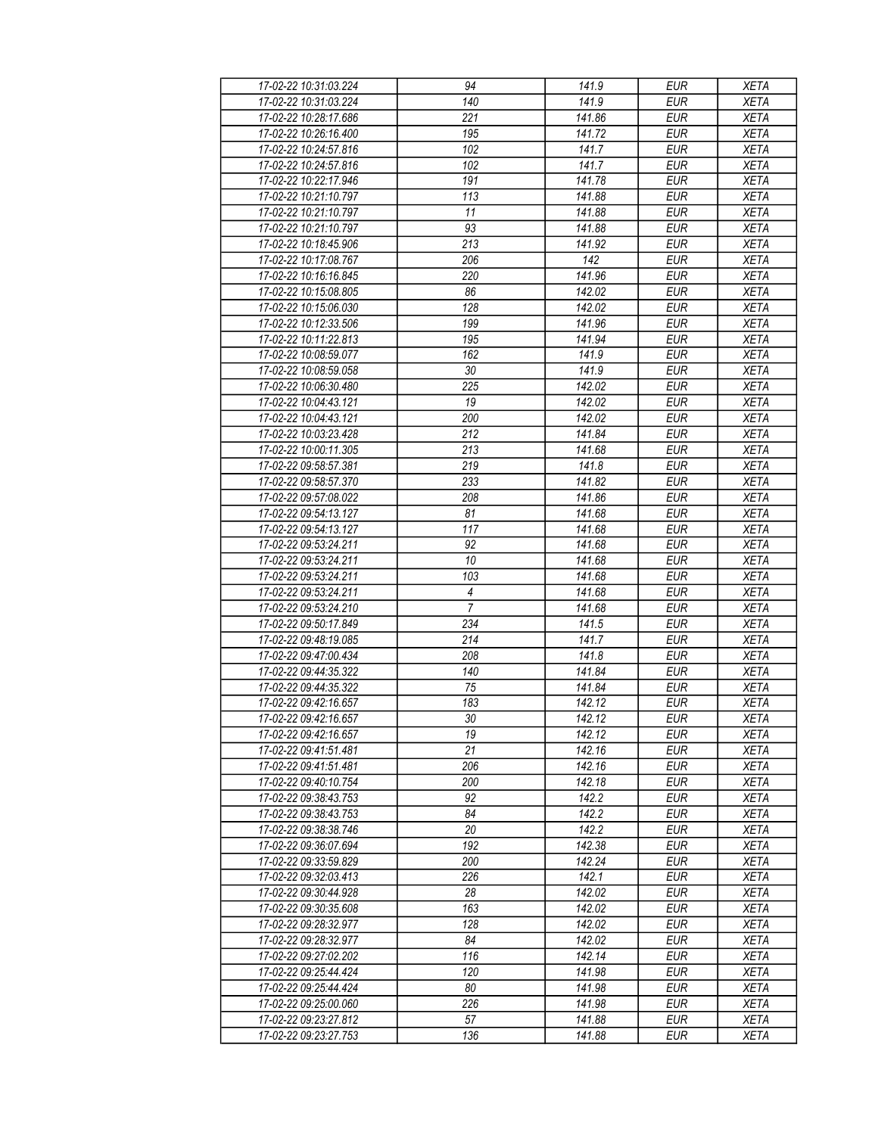| 17-02-22 10:31:03.224                          | 94                               | 141.9  | <b>EUR</b>               | <b>XETA</b> |
|------------------------------------------------|----------------------------------|--------|--------------------------|-------------|
| 17-02-22 10:31:03.224                          | 140                              | 141.9  | <b>EUR</b>               | <b>XETA</b> |
| 17-02-22 10:28:17.686                          | 221                              | 141.86 | <b>EUR</b>               | <b>XETA</b> |
| 17-02-22 10:26:16.400                          | 195                              | 141.72 | <b>EUR</b>               | <b>XETA</b> |
| 17-02-22 10:24:57.816                          | 102                              | 141.7  | <b>EUR</b>               | <b>XETA</b> |
| 17-02-22 10:24:57.816                          | 102                              | 141.7  | <b>EUR</b>               | <b>XETA</b> |
| 17-02-22 10:22:17.946                          | 191                              | 141.78 | <b>EUR</b>               | <b>XETA</b> |
| 17-02-22 10:21:10.797                          | 113                              | 141.88 | <b>EUR</b>               | <b>XETA</b> |
| 17-02-22 10:21:10.797                          | 11                               | 141.88 | <b>EUR</b>               | <b>XETA</b> |
| 17-02-22 10:21:10.797                          | 93                               | 141.88 | <b>EUR</b>               | <b>XETA</b> |
| 17-02-22 10:18:45.906                          | 213                              | 141.92 | <b>EUR</b>               | <b>XETA</b> |
| 17-02-22 10:17:08.767                          | 206                              | 142    | <b>EUR</b>               | <b>XETA</b> |
| 17-02-22 10:16:16.845                          | 220                              | 141.96 | <b>EUR</b>               | <b>XETA</b> |
| 17-02-22 10:15:08.805                          | 86                               | 142.02 | <b>EUR</b>               | <b>XETA</b> |
| 17-02-22 10:15:06.030                          | 128                              | 142.02 | EUR                      | <b>XETA</b> |
| 17-02-22 10:12:33.506                          | 199                              | 141.96 | <b>EUR</b>               | <b>XETA</b> |
| 17-02-22 10:11:22.813                          | 195                              | 141.94 | EUR                      | <b>XETA</b> |
| 17-02-22 10:08:59.077                          | 162                              | 141.9  | <b>EUR</b>               | <b>XETA</b> |
| 17-02-22 10:08:59.058                          | 30                               | 141.9  | <b>EUR</b>               | <b>XETA</b> |
| 17-02-22 10:06:30.480                          | 225                              | 142.02 | <b>EUR</b>               | <b>XETA</b> |
| 17-02-22 10:04:43.121                          | 19                               | 142.02 | <b>EUR</b>               | <b>XETA</b> |
|                                                |                                  |        | <b>EUR</b>               |             |
| 17-02-22 10:04:43.121<br>17-02-22 10:03:23.428 | 200<br>212                       | 142.02 | <b>EUR</b>               | <b>XETA</b> |
| 17-02-22 10:00:11.305                          |                                  | 141.84 |                          | <b>XETA</b> |
|                                                | 213                              | 141.68 | <b>EUR</b>               | <b>XETA</b> |
| 17-02-22 09:58:57.381                          | 219                              | 141.8  | <b>EUR</b><br><b>EUR</b> | <b>XETA</b> |
| 17-02-22 09:58:57.370                          | 233                              | 141.82 |                          | <b>XETA</b> |
| 17-02-22 09:57:08.022                          | 208                              | 141.86 | <b>EUR</b>               | <b>XETA</b> |
| 17-02-22 09:54:13.127                          | 81                               | 141.68 | <b>EUR</b>               | <b>XETA</b> |
| 17-02-22 09:54:13.127                          | 117                              | 141.68 | <b>EUR</b>               | <b>XETA</b> |
| 17-02-22 09:53:24.211                          | 92                               | 141.68 | <b>EUR</b>               | <b>XETA</b> |
| 17-02-22 09:53:24.211                          | 10                               | 141.68 | <b>EUR</b>               | <b>XETA</b> |
| 17-02-22 09:53:24.211                          | 103                              | 141.68 | <b>EUR</b>               | <b>XETA</b> |
| 17-02-22 09:53:24.211                          | $\overline{4}$<br>$\overline{7}$ | 141.68 | <b>EUR</b>               | <b>XETA</b> |
| 17-02-22 09:53:24.210                          |                                  | 141.68 | <b>EUR</b>               | <b>XETA</b> |
| 17-02-22 09:50:17.849                          | 234                              | 141.5  | <b>EUR</b>               | <b>XETA</b> |
| 17-02-22 09:48:19.085                          | 214                              | 141.7  | <b>EUR</b>               | <b>XETA</b> |
| 17-02-22 09:47:00.434                          | 208                              | 141.8  | <b>EUR</b>               | <b>XETA</b> |
| 17-02-22 09:44:35.322                          | 140                              | 141.84 | <b>EUR</b>               | <b>XETA</b> |
| 17-02-22 09:44:35.322                          | 75                               | 141.84 | <b>EUR</b>               | <b>XETA</b> |
| 17-02-22 09:42:16.657                          | 183                              | 142.12 | <b>EUR</b>               | <b>XETA</b> |
| 17-02-22 09:42:16.657                          | $30\,$                           | 142.12 | <b>EUR</b>               | <b>XETA</b> |
| 17-02-22 09:42:16.657                          | 19                               | 142.12 | <b>EUR</b>               | <b>XETA</b> |
| 17-02-22 09:41:51.481                          | 21                               | 142.16 | <b>EUR</b>               | <b>XETA</b> |
| 17-02-22 09:41:51.481                          | 206                              | 142.16 | <b>EUR</b>               | <b>XETA</b> |
| 17-02-22 09:40:10.754                          | 200                              | 142.18 | <b>EUR</b>               | <b>XETA</b> |
| 17-02-22 09:38:43.753                          | 92                               | 142.2  | <b>EUR</b>               | <b>XETA</b> |
| 17-02-22 09:38:43.753                          | 84                               | 142.2  | <b>EUR</b>               | <b>XETA</b> |
| 17-02-22 09:38:38.746                          | 20                               | 142.2  | <b>EUR</b>               | <b>XETA</b> |
| 17-02-22 09:36:07.694                          | 192                              | 142.38 | <b>EUR</b>               | <b>XETA</b> |
| 17-02-22 09:33:59.829                          | 200                              | 142.24 | <b>EUR</b>               | <b>XETA</b> |
| 17-02-22 09:32:03.413                          | 226                              | 142.1  | <b>EUR</b>               | <b>XETA</b> |
| 17-02-22 09:30:44.928                          | 28                               | 142.02 | <b>EUR</b>               | <b>XETA</b> |
| 17-02-22 09:30:35.608                          | 163                              | 142.02 | <b>EUR</b>               | <b>XETA</b> |
| 17-02-22 09:28:32.977                          | 128                              | 142.02 | <b>EUR</b>               | <b>XETA</b> |
| 17-02-22 09:28:32.977                          | 84                               | 142.02 | <b>EUR</b>               | <b>XETA</b> |
| 17-02-22 09:27:02.202                          | 116                              | 142.14 | <b>EUR</b>               | <b>XETA</b> |
| 17-02-22 09:25:44.424                          | 120                              | 141.98 | <b>EUR</b>               | <b>XETA</b> |
| 17-02-22 09:25:44.424                          | 80                               | 141.98 | <b>EUR</b>               | <b>XETA</b> |
| 17-02-22 09:25:00.060                          | 226                              | 141.98 | <b>EUR</b>               | <b>XETA</b> |
| 17-02-22 09:23:27.812                          | 57                               | 141.88 | <b>EUR</b>               | <b>XETA</b> |
| 17-02-22 09:23:27.753                          | 136                              | 141.88 | <b>EUR</b>               | <b>XETA</b> |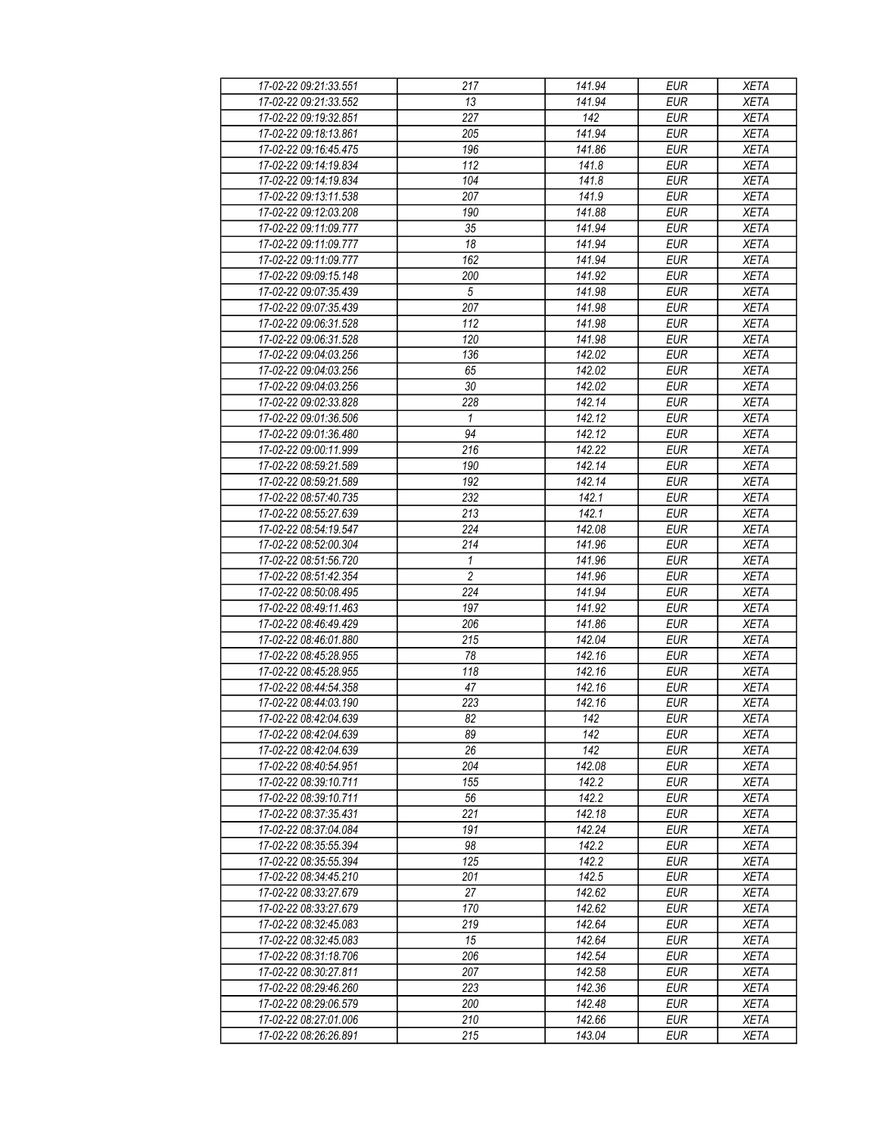| 17-02-22 09:21:33.551 | 217            | 141.94 | <b>EUR</b>       | <b>XETA</b> |
|-----------------------|----------------|--------|------------------|-------------|
| 17-02-22 09:21:33.552 | 13             | 141.94 | <b>EUR</b>       | <b>XETA</b> |
| 17-02-22 09:19:32.851 | 227            | 142    | <b>EUR</b>       | <b>XETA</b> |
| 17-02-22 09:18:13.861 | 205            | 141.94 | <b>EUR</b>       | <b>XETA</b> |
| 17-02-22 09:16:45.475 | 196            | 141.86 | <b>EUR</b>       | <b>XETA</b> |
| 17-02-22 09:14:19.834 | 112            | 141.8  | <b>EUR</b>       | <b>XETA</b> |
| 17-02-22 09:14:19.834 | 104            | 141.8  | <b>EUR</b>       | <b>XETA</b> |
| 17-02-22 09:13:11.538 | 207            | 141.9  | <b>EUR</b>       | <b>XETA</b> |
| 17-02-22 09:12:03.208 | 190            | 141.88 | <b>EUR</b>       | <b>XETA</b> |
| 17-02-22 09:11:09.777 | 35             | 141.94 | $E\overline{UR}$ | <b>XETA</b> |
| 17-02-22 09:11:09.777 | 18             | 141.94 | <b>EUR</b>       | <b>XETA</b> |
| 17-02-22 09:11:09.777 | 162            | 141.94 | <b>EUR</b>       | <b>XETA</b> |
| 17-02-22 09:09:15.148 | 200            | 141.92 | <b>EUR</b>       | <b>XETA</b> |
| 17-02-22 09:07:35.439 | 5              | 141.98 | <b>EUR</b>       | <b>XETA</b> |
| 17-02-22 09:07:35.439 | 207            | 141.98 | <b>EUR</b>       | <b>XETA</b> |
| 17-02-22 09:06:31.528 | 112            | 141.98 | <b>EUR</b>       | <b>XETA</b> |
| 17-02-22 09:06:31.528 | 120            | 141.98 | EUR              | <b>XETA</b> |
| 17-02-22 09:04:03.256 | 136            | 142.02 | <b>EUR</b>       |             |
|                       |                |        |                  | <b>XETA</b> |
| 17-02-22 09:04:03.256 | 65             | 142.02 | <b>EUR</b>       | <b>XETA</b> |
| 17-02-22 09:04:03.256 | 30             | 142.02 | <b>EUR</b>       | <b>XETA</b> |
| 17-02-22 09:02:33.828 | 228            | 142.14 | <b>EUR</b>       | <b>XETA</b> |
| 17-02-22 09:01:36.506 | $\mathbf{1}$   | 142.12 | <b>EUR</b>       | <b>XETA</b> |
| 17-02-22 09:01:36.480 | 94             | 142.12 | <b>EUR</b>       | <b>XETA</b> |
| 17-02-22 09:00:11.999 | 216            | 142.22 | <b>EUR</b>       | <b>XETA</b> |
| 17-02-22 08:59:21.589 | 190            | 142.14 | <b>EUR</b>       | <b>XETA</b> |
| 17-02-22 08:59:21.589 | 192            | 142.14 | <b>EUR</b>       | <b>XETA</b> |
| 17-02-22 08:57:40.735 | 232            | 142.1  | <b>EUR</b>       | <b>XETA</b> |
| 17-02-22 08:55:27.639 | 213            | 142.1  | <b>EUR</b>       | <b>XETA</b> |
| 17-02-22 08:54:19.547 | 224            | 142.08 | <b>EUR</b>       | <b>XETA</b> |
| 17-02-22 08:52:00.304 | 214            | 141.96 | <b>EUR</b>       | <b>XETA</b> |
| 17-02-22 08:51:56.720 | $\mathbf{1}$   | 141.96 | <b>EUR</b>       | <b>XETA</b> |
| 17-02-22 08:51:42.354 | $\overline{2}$ | 141.96 | <b>EUR</b>       | <b>XETA</b> |
| 17-02-22 08:50:08.495 | 224            | 141.94 | <b>EUR</b>       | <b>XETA</b> |
| 17-02-22 08:49:11.463 | 197            | 141.92 | <b>EUR</b>       | <b>XETA</b> |
| 17-02-22 08:46:49.429 | 206            | 141.86 | <b>EUR</b>       | <b>XETA</b> |
| 17-02-22 08:46:01.880 | 215            | 142.04 | <b>EUR</b>       | <b>XETA</b> |
| 17-02-22 08:45:28.955 | 78             | 142.16 | <b>EUR</b>       | <b>XETA</b> |
| 17-02-22 08:45:28.955 | 118            | 142.16 | <b>EUR</b>       | <b>XETA</b> |
| 17-02-22 08:44:54.358 | 47             | 142.16 | <b>EUR</b>       | <b>XETA</b> |
| 17-02-22 08:44:03.190 | 223            | 142.16 | <b>EUR</b>       | <b>XETA</b> |
| 17-02-22 08:42:04.639 | 82             | 142    | <b>EUR</b>       | <b>XETA</b> |
| 17-02-22 08:42:04.639 | 89             | 142    | <b>EUR</b>       | <b>XETA</b> |
| 17-02-22 08:42:04.639 | 26             | 142    | <b>EUR</b>       | <b>XETA</b> |
| 17-02-22 08:40:54.951 | 204            | 142.08 | <b>EUR</b>       | <b>XETA</b> |
| 17-02-22 08:39:10.711 | 155            | 142.2  | <b>EUR</b>       | <b>XETA</b> |
| 17-02-22 08:39:10.711 | 56             | 142.2  | <b>EUR</b>       | <b>XETA</b> |
| 17-02-22 08:37:35.431 | 221            | 142.18 | <b>EUR</b>       | <b>XETA</b> |
| 17-02-22 08:37:04.084 | 191            | 142.24 | <b>EUR</b>       | <b>XETA</b> |
| 17-02-22 08:35:55.394 | 98             | 142.2  | <b>EUR</b>       | <b>XETA</b> |
| 17-02-22 08:35:55.394 | 125            | 142.2  | <b>EUR</b>       | <b>XETA</b> |
| 17-02-22 08:34:45.210 | 201            | 142.5  | <b>EUR</b>       | <b>XETA</b> |
| 17-02-22 08:33:27.679 | 27             | 142.62 | <b>EUR</b>       | <b>XETA</b> |
| 17-02-22 08:33:27.679 | 170            | 142.62 | <b>EUR</b>       | <b>XETA</b> |
| 17-02-22 08:32:45.083 | 219            | 142.64 | <b>EUR</b>       | <b>XETA</b> |
| 17-02-22 08:32:45.083 | 15             | 142.64 | <b>EUR</b>       | <b>XETA</b> |
| 17-02-22 08:31:18.706 | 206            | 142.54 | <b>EUR</b>       | <b>XETA</b> |
| 17-02-22 08:30:27.811 | 207            | 142.58 | <b>EUR</b>       | <b>XETA</b> |
| 17-02-22 08:29:46.260 | 223            | 142.36 | <b>EUR</b>       | <b>XETA</b> |
| 17-02-22 08:29:06.579 | 200            | 142.48 | <b>EUR</b>       | <b>XETA</b> |
| 17-02-22 08:27:01.006 | 210            | 142.66 | <b>EUR</b>       | <b>XETA</b> |
| 17-02-22 08:26:26.891 | 215            | 143.04 | <b>EUR</b>       | <b>XETA</b> |
|                       |                |        |                  |             |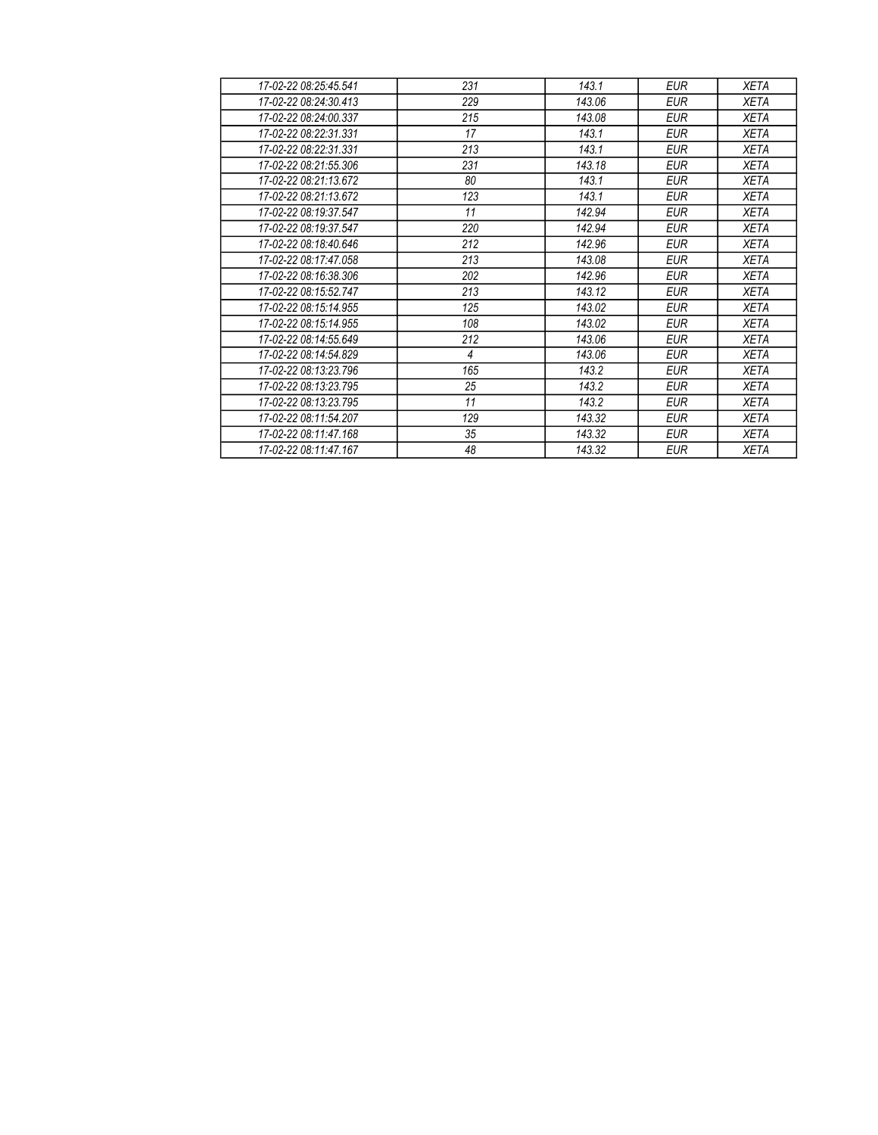| 17-02-22 08:25:45.541 | 231 | 143.1  | <b>EUR</b> | <b>XETA</b> |
|-----------------------|-----|--------|------------|-------------|
| 17-02-22 08:24:30 413 | 229 | 143.06 | <b>EUR</b> | <b>XETA</b> |
| 17-02-22 08:24:00.337 | 215 | 143.08 | <b>EUR</b> | <b>XETA</b> |
| 17-02-22 08:22:31.331 | 17  | 143.1  | <b>EUR</b> | <b>XETA</b> |
| 17-02-22 08:22:31.331 | 213 | 143.1  | <b>EUR</b> | <b>XETA</b> |
| 17-02-22 08:21:55.306 | 231 | 143.18 | <b>EUR</b> | <b>XETA</b> |
| 17-02-22 08:21:13.672 | 80  | 143.1  | <b>EUR</b> | <b>XETA</b> |
| 17-02-22 08:21:13.672 | 123 | 143.1  | <b>EUR</b> | <b>XETA</b> |
| 17-02-22 08:19:37 547 | 11  | 142.94 | <b>EUR</b> | <b>XETA</b> |
| 17-02-22 08:19:37.547 | 220 | 142.94 | <b>EUR</b> | <b>XETA</b> |
| 17-02-22 08:18:40.646 | 212 | 142.96 | <b>EUR</b> | <b>XETA</b> |
| 17-02-22 08:17:47.058 | 213 | 143.08 | <b>EUR</b> | <b>XETA</b> |
| 17-02-22 08:16:38.306 | 202 | 142.96 | <b>EUR</b> | <b>XETA</b> |
| 17-02-22 08:15:52.747 | 213 | 143.12 | <b>EUR</b> | <b>XETA</b> |
| 17-02-22 08:15:14.955 | 125 | 143.02 | <b>EUR</b> | <b>XETA</b> |
| 17-02-22 08:15:14.955 | 108 | 143.02 | <b>EUR</b> | <b>XETA</b> |
| 17-02-22 08:14:55.649 | 212 | 143.06 | <b>EUR</b> | <b>XETA</b> |
| 17-02-22 08:14:54.829 | 4   | 143.06 | <b>EUR</b> | <b>XETA</b> |
| 17-02-22 08:13:23.796 | 165 | 143.2  | <b>EUR</b> | <b>XETA</b> |
| 17-02-22 08:13:23.795 | 25  | 143.2  | <b>EUR</b> | <b>XETA</b> |
| 17-02-22 08:13:23.795 | 11  | 143.2  | <b>EUR</b> | <b>XETA</b> |
| 17-02-22 08:11:54.207 | 129 | 143.32 | <b>EUR</b> | <b>XETA</b> |
| 17-02-22 08:11:47.168 | 35  | 143.32 | <b>EUR</b> | <b>XETA</b> |
| 17-02-22 08:11:47.167 | 48  | 143.32 | <b>EUR</b> | <b>XETA</b> |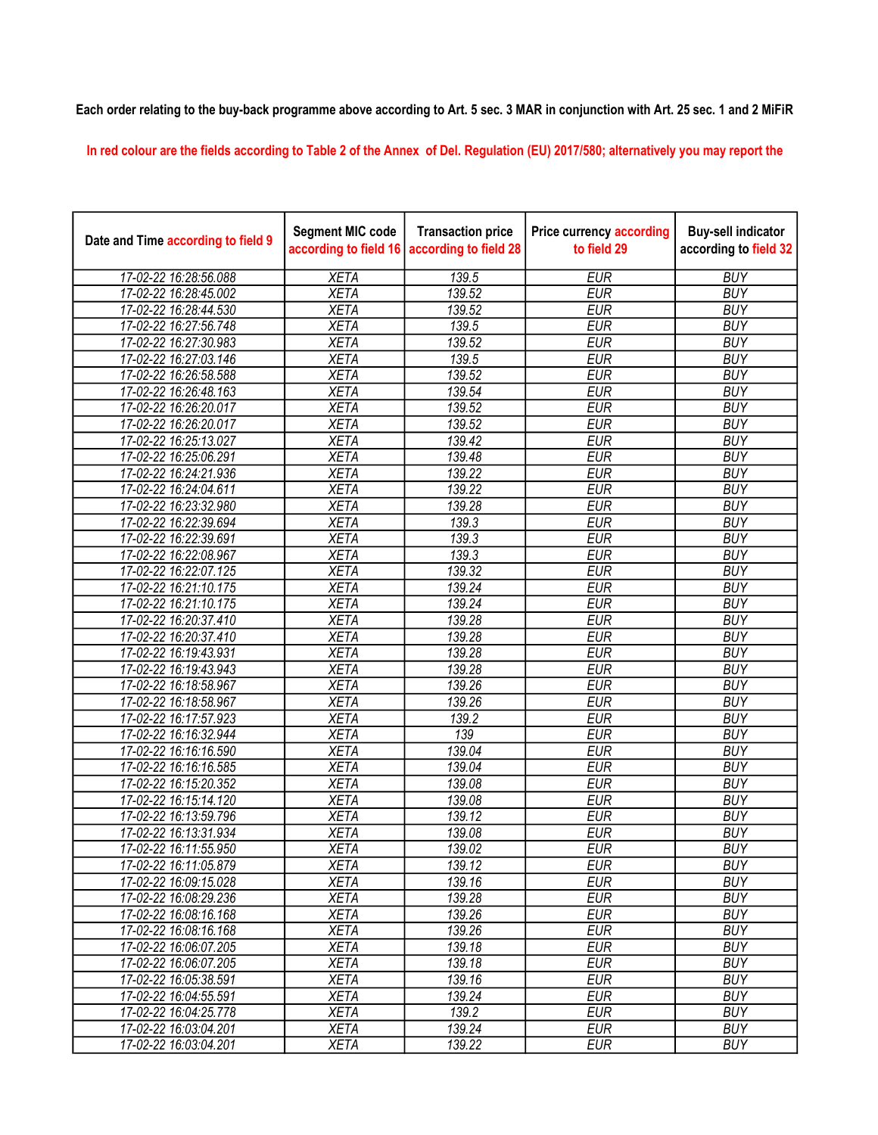## Each order relating to the buy-back programme above according to Art. 5 sec. 3 MAR in conjunction with Art. 25 sec. 1 and 2 MiFiR

In red colour are the fields according to Table 2 of the Annex of Del. Regulation (EU) 2017/580; alternatively you may report the

| Date and Time according to field 9 | <b>Segment MIC code</b><br>according to field 16 | <b>Transaction price</b><br>according to field 28 | <b>Price currency according</b><br>to field 29 | <b>Buy-sell indicator</b><br>according to field 32 |
|------------------------------------|--------------------------------------------------|---------------------------------------------------|------------------------------------------------|----------------------------------------------------|
| 17-02-22 16:28:56.088              | <b>XETA</b>                                      | 139.5                                             | <b>EUR</b>                                     | <b>BUY</b>                                         |
| 17-02-22 16:28:45.002              | <b>XETA</b>                                      | 139.52                                            | <b>EUR</b>                                     | <b>BUY</b>                                         |
| 17-02-22 16:28:44.530              | <b>XETA</b>                                      | 139.52                                            | <b>EUR</b>                                     | <b>BUY</b>                                         |
| 17-02-22 16:27:56.748              | <b>XETA</b>                                      | 139.5                                             | <b>EUR</b>                                     | <b>BUY</b>                                         |
| 17-02-22 16:27:30.983              | <b>XETA</b>                                      | 139.52                                            | <b>EUR</b>                                     | <b>BUY</b>                                         |
| 17-02-22 16:27:03.146              | <b>XETA</b>                                      | 139.5                                             | <b>EUR</b>                                     | <b>BUY</b>                                         |
| 17-02-22 16:26:58.588              | <b>XETA</b>                                      | 139.52                                            | <b>EUR</b>                                     | <b>BUY</b>                                         |
| 17-02-22 16:26:48.163              | <b>XETA</b>                                      | 139.54                                            | <b>EUR</b>                                     | <b>BUY</b>                                         |
| 17-02-22 16:26:20.017              | <b>XETA</b>                                      | 139.52                                            | <b>EUR</b>                                     | <b>BUY</b>                                         |
| 17-02-22 16:26:20.017              | <b>XETA</b>                                      | 139.52                                            | <b>EUR</b>                                     | <b>BUY</b>                                         |
| 17-02-22 16:25:13.027              | <b>XETA</b>                                      | 139.42                                            | <b>EUR</b>                                     | <b>BUY</b>                                         |
| 17-02-22 16:25:06.291              | <b>XETA</b>                                      | 139.48                                            | <b>EUR</b>                                     | <b>BUY</b>                                         |
| 17-02-22 16:24:21.936              | <b>XETA</b>                                      | 139.22                                            | <b>EUR</b>                                     | <b>BUY</b>                                         |
| 17-02-22 16:24:04.611              | <b>XETA</b>                                      | 139.22                                            | <b>EUR</b>                                     | <b>BUY</b>                                         |
| 17-02-22 16:23:32.980              | <b>XETA</b>                                      | 139.28                                            | <b>EUR</b>                                     | <b>BUY</b>                                         |
| 17-02-22 16:22:39.694              | <b>XETA</b>                                      | 139.3                                             | <b>EUR</b>                                     | <b>BUY</b>                                         |
| 17-02-22 16:22:39.691              | <b>XETA</b>                                      | 139.3                                             | <b>EUR</b>                                     | <b>BUY</b>                                         |
| 17-02-22 16:22:08.967              | <b>XETA</b>                                      | 139.3                                             | <b>EUR</b>                                     | <b>BUY</b>                                         |
| 17-02-22 16:22:07.125              | <b>XETA</b>                                      | 139.32                                            | <b>EUR</b>                                     | <b>BUY</b>                                         |
| 17-02-22 16:21:10.175              | <b>XETA</b>                                      | 139.24                                            | <b>EUR</b>                                     | <b>BUY</b>                                         |
| 17-02-22 16:21:10.175              | <b>XETA</b>                                      | 139.24                                            | <b>EUR</b>                                     | <b>BUY</b>                                         |
| 17-02-22 16:20:37.410              | <b>XETA</b>                                      | 139.28                                            | <b>EUR</b>                                     | <b>BUY</b>                                         |
| 17-02-22 16:20:37.410              | <b>XETA</b>                                      | 139.28                                            | <b>EUR</b>                                     | <b>BUY</b>                                         |
| 17-02-22 16:19:43.931              | <b>XETA</b>                                      | 139.28                                            | <b>EUR</b>                                     | <b>BUY</b>                                         |
| 17-02-22 16:19:43.943              | <b>XETA</b>                                      | 139.28                                            | <b>EUR</b>                                     | <b>BUY</b>                                         |
| 17-02-22 16:18:58.967              | <b>XETA</b>                                      | 139.26                                            | <b>EUR</b>                                     | <b>BUY</b>                                         |
| 17-02-22 16:18:58.967              | <b>XETA</b>                                      | 139.26                                            | <b>EUR</b>                                     | <b>BUY</b>                                         |
| 17-02-22 16:17:57.923              | <b>XETA</b>                                      | 139.2                                             | <b>EUR</b>                                     | <b>BUY</b>                                         |
| 17-02-22 16:16:32.944              | <b>XETA</b>                                      | 139                                               | <b>EUR</b>                                     | <b>BUY</b>                                         |
| 17-02-22 16:16:16.590              | <b>XETA</b>                                      | 139.04                                            | <b>EUR</b>                                     | <b>BUY</b>                                         |
| 17-02-22 16:16:16.585              | <b>XETA</b>                                      | 139.04                                            | <b>EUR</b>                                     | <b>BUY</b>                                         |
| 17-02-22 16:15:20.352              | <b>XETA</b>                                      | 139.08                                            | <b>EUR</b>                                     | <b>BUY</b>                                         |
| 17-02-22 16:15:14.120              | <b>XETA</b>                                      | 139.08                                            | <b>EUR</b>                                     | <b>BUY</b>                                         |
| 17-02-22 16:13:59.796              | <b>XETA</b>                                      | 139.12                                            | <b>EUR</b>                                     | <b>BUY</b>                                         |
| 17-02-22 16:13:31.934              | <b>XETA</b>                                      | 139.08                                            | <b>EUR</b>                                     | <b>BUY</b>                                         |
| 17-02-22 16:11:55.950              | <b>XETA</b>                                      | 139.02                                            | <b>EUR</b>                                     | <b>BUY</b>                                         |
| 17-02-22 16:11:05.879              | <b>XETA</b>                                      | 139.12                                            | <b>EUR</b>                                     | <b>BUY</b>                                         |
| 17-02-22 16:09:15.028              | <b>XETA</b>                                      | 139.16                                            | <b>EUR</b>                                     | <b>BUY</b>                                         |
| 17-02-22 16:08:29.236              | <b>XETA</b>                                      | 139.28                                            | <b>EUR</b>                                     | <b>BUY</b>                                         |
| 17-02-22 16:08:16.168              | <b>XETA</b>                                      | 139.26                                            | <b>EUR</b>                                     | <b>BUY</b>                                         |
| 17-02-22 16:08:16.168              | <b>XETA</b>                                      | 139.26                                            | <b>EUR</b>                                     | <b>BUY</b>                                         |
| 17-02-22 16:06:07.205              | <b>XETA</b>                                      | 139.18                                            | <b>EUR</b>                                     | <b>BUY</b>                                         |
| 17-02-22 16:06:07.205              | <b>XETA</b>                                      | 139.18                                            | <b>EUR</b>                                     | <b>BUY</b>                                         |
| 17-02-22 16:05:38.591              | <b>XETA</b>                                      | 139.16                                            | <b>EUR</b>                                     | <b>BUY</b>                                         |
| 17-02-22 16:04:55.591              | <b>XETA</b>                                      | 139.24                                            | <b>EUR</b>                                     | <b>BUY</b>                                         |
| 17-02-22 16:04:25.778              | <b>XETA</b>                                      | 139.2                                             | <b>EUR</b>                                     | <b>BUY</b>                                         |
| 17-02-22 16:03:04.201              | <b>XETA</b>                                      | 139.24                                            | <b>EUR</b>                                     | <b>BUY</b>                                         |
| 17-02-22 16:03:04.201              | <b>XETA</b>                                      | 139.22                                            | <b>EUR</b>                                     | <b>BUY</b>                                         |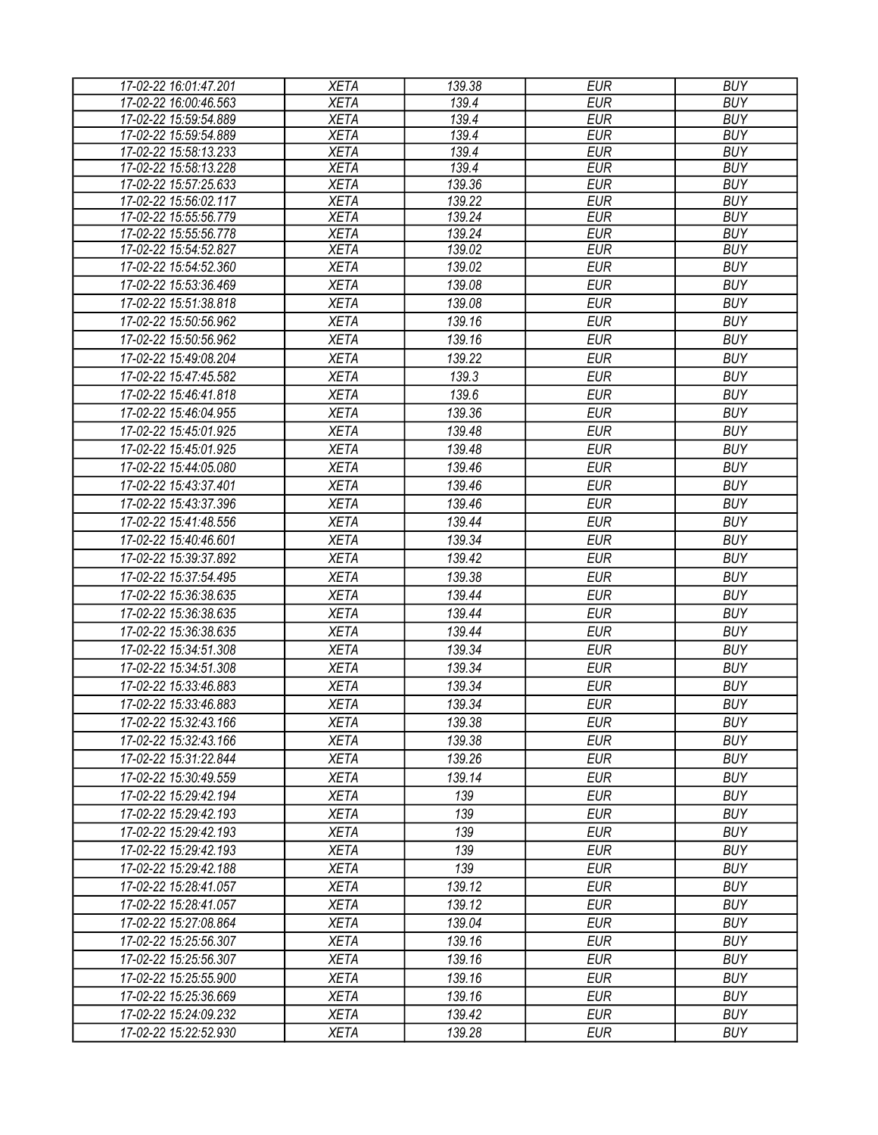| 17-02-22 16:01:47.201 | <b>XETA</b> | 139.38 | <b>EUR</b> | <b>BUY</b> |
|-----------------------|-------------|--------|------------|------------|
| 17-02-22 16:00:46.563 | <b>XETA</b> | 139.4  | <b>EUR</b> | <b>BUY</b> |
| 17-02-22 15:59:54.889 | <b>XETA</b> | 139.4  | <b>EUR</b> | <b>BUY</b> |
| 17-02-22 15:59:54.889 | <b>XETA</b> | 139.4  | <b>EUR</b> | <b>BUY</b> |
| 17-02-22 15:58:13.233 | <b>XETA</b> | 139.4  | <b>EUR</b> | <b>BUY</b> |
| 17-02-22 15:58:13.228 | <b>XETA</b> | 139.4  | <b>EUR</b> | <b>BUY</b> |
| 17-02-22 15:57:25.633 | <b>XETA</b> | 139.36 | <b>EUR</b> | <b>BUY</b> |
| 17-02-22 15:56:02.117 | <b>XETA</b> | 139.22 | <b>EUR</b> | <b>BUY</b> |
| 17-02-22 15:55:56.779 | <b>XETA</b> | 139.24 | <b>EUR</b> | <b>BUY</b> |
| 17-02-22 15:55:56.778 | <b>XETA</b> | 139.24 | <b>EUR</b> | <b>BUY</b> |
| 17-02-22 15:54:52.827 | <b>XETA</b> | 139.02 | <b>EUR</b> | <b>BUY</b> |
| 17-02-22 15:54:52.360 | <b>XETA</b> | 139.02 | <b>EUR</b> | <b>BUY</b> |
| 17-02-22 15:53:36.469 | <b>XETA</b> | 139.08 | <b>EUR</b> | <b>BUY</b> |
| 17-02-22 15:51:38.818 | <b>XETA</b> | 139.08 | <b>EUR</b> | <b>BUY</b> |
| 17-02-22 15:50:56.962 | <b>XETA</b> | 139.16 | <b>EUR</b> | <b>BUY</b> |
| 17-02-22 15:50:56.962 | <b>XETA</b> | 139.16 | <b>EUR</b> | <b>BUY</b> |
| 17-02-22 15:49:08.204 | <b>XETA</b> | 139.22 | <b>EUR</b> | <b>BUY</b> |
| 17-02-22 15:47:45.582 | <b>XETA</b> | 139.3  | <b>EUR</b> | <b>BUY</b> |
| 17-02-22 15:46:41.818 | <b>XETA</b> | 139.6  | <b>EUR</b> | <b>BUY</b> |
| 17-02-22 15:46:04.955 | <b>XETA</b> | 139.36 | <b>EUR</b> | <b>BUY</b> |
| 17-02-22 15:45:01.925 | <b>XETA</b> | 139.48 | <b>EUR</b> | <b>BUY</b> |
| 17-02-22 15:45:01.925 | <b>XETA</b> | 139.48 | <b>EUR</b> | <b>BUY</b> |
| 17-02-22 15:44:05.080 | <b>XETA</b> | 139.46 | <b>EUR</b> | <b>BUY</b> |
| 17-02-22 15:43:37.401 | <b>XETA</b> | 139.46 | <b>EUR</b> | <b>BUY</b> |
| 17-02-22 15:43:37.396 | <b>XETA</b> | 139.46 | <b>EUR</b> | <b>BUY</b> |
| 17-02-22 15:41:48.556 | <b>XETA</b> | 139.44 | <b>EUR</b> | <b>BUY</b> |
| 17-02-22 15:40:46.601 | <b>XETA</b> | 139.34 | <b>EUR</b> | <b>BUY</b> |
| 17-02-22 15:39:37.892 | <b>XETA</b> | 139.42 | <b>EUR</b> | <b>BUY</b> |
| 17-02-22 15:37:54.495 | <b>XETA</b> | 139.38 | <b>EUR</b> | <b>BUY</b> |
|                       |             |        | <b>EUR</b> | <b>BUY</b> |
| 17-02-22 15:36:38.635 | <b>XETA</b> | 139.44 |            |            |
| 17-02-22 15:36:38.635 | <b>XETA</b> | 139.44 | <b>EUR</b> | <b>BUY</b> |
| 17-02-22 15:36:38.635 | <b>XETA</b> | 139.44 | <b>EUR</b> | <b>BUY</b> |
| 17-02-22 15:34:51.308 | <b>XETA</b> | 139.34 | <b>EUR</b> | <b>BUY</b> |
| 17-02-22 15:34:51.308 | <b>XETA</b> | 139.34 | <b>EUR</b> | <b>BUY</b> |
| 17-02-22 15:33:46.883 | <b>XETA</b> | 139.34 | <b>EUR</b> | <b>BUY</b> |
| 17-02-22 15:33:46.883 | <b>XETA</b> | 139.34 | <b>EUR</b> | <b>BUY</b> |
| 17-02-22 15:32:43.166 | <b>XETA</b> | 139.38 | <b>EUR</b> | <b>BUY</b> |
| 17-02-22 15:32:43.166 | <b>XETA</b> | 139.38 | EUR        | <b>BUY</b> |
| 17-02-22 15:31:22.844 | <b>XETA</b> | 139.26 | EUR        | <b>BUY</b> |
| 17-02-22 15:30:49.559 | <b>XETA</b> | 139.14 | <b>EUR</b> | <b>BUY</b> |
| 17-02-22 15:29:42.194 | <b>XETA</b> | 139    | <b>EUR</b> | <b>BUY</b> |
| 17-02-22 15:29:42.193 | <b>XETA</b> | 139    | <b>EUR</b> | <b>BUY</b> |
| 17-02-22 15:29:42.193 | <b>XETA</b> | 139    | <b>EUR</b> | <b>BUY</b> |
| 17-02-22 15:29:42.193 | <b>XETA</b> | 139    | <b>EUR</b> | <b>BUY</b> |
| 17-02-22 15:29:42.188 | <b>XETA</b> | 139    | <b>EUR</b> | <b>BUY</b> |
| 17-02-22 15:28:41.057 | <b>XETA</b> | 139.12 | <b>EUR</b> | <b>BUY</b> |
| 17-02-22 15:28:41.057 | <b>XETA</b> | 139.12 | <b>EUR</b> | <b>BUY</b> |
| 17-02-22 15:27:08.864 | <b>XETA</b> | 139.04 | <b>EUR</b> | <b>BUY</b> |
| 17-02-22 15:25:56.307 | <b>XETA</b> | 139.16 | <b>EUR</b> | <b>BUY</b> |
| 17-02-22 15:25:56.307 | <b>XETA</b> | 139.16 | <b>EUR</b> | <b>BUY</b> |
| 17-02-22 15:25:55.900 | <b>XETA</b> | 139.16 | <b>EUR</b> | <b>BUY</b> |
|                       | <b>XETA</b> | 139.16 | <b>EUR</b> | <b>BUY</b> |
| 17-02-22 15:25:36.669 |             |        |            |            |
| 17-02-22 15:24:09.232 | <b>XETA</b> | 139.42 | <b>EUR</b> | <b>BUY</b> |
| 17-02-22 15:22:52.930 | XETA        | 139.28 | <b>EUR</b> | <b>BUY</b> |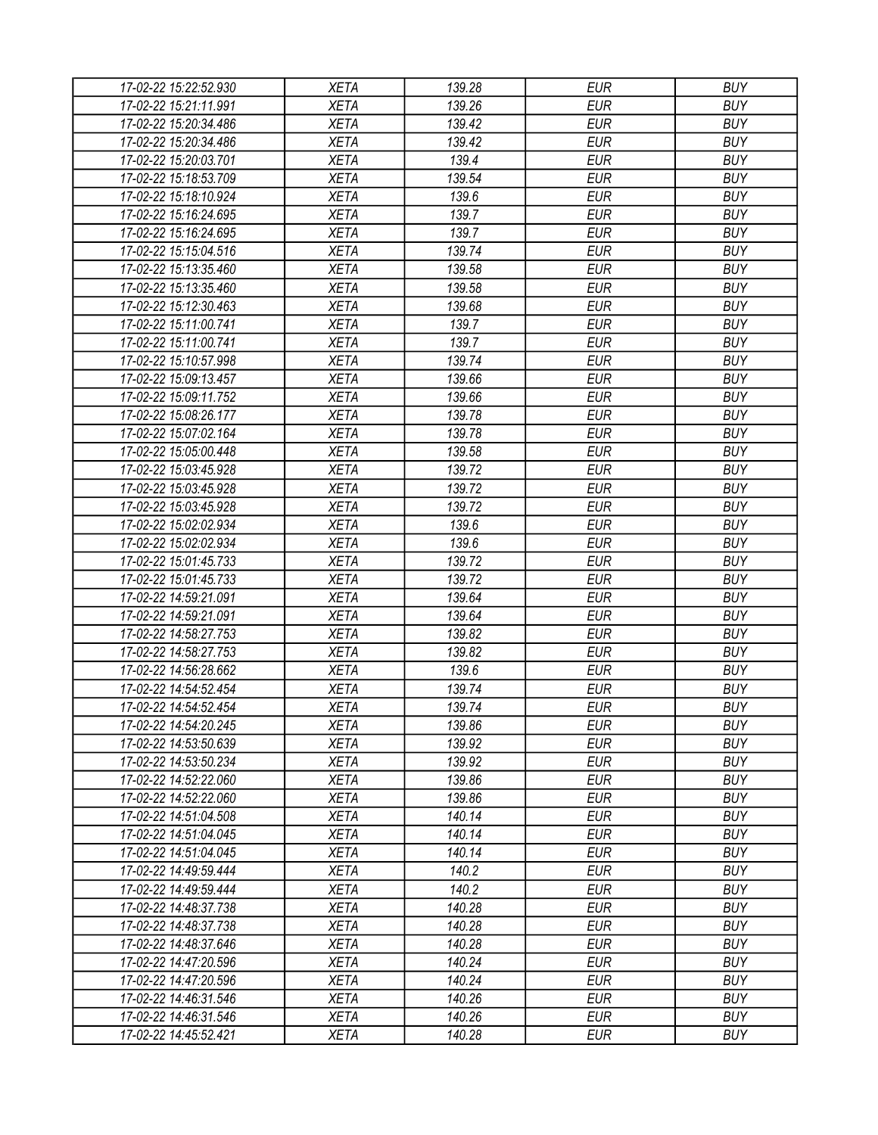| 17-02-22 15:22:52.930 | <b>XETA</b> | 139.28 | <b>EUR</b> | <b>BUY</b> |
|-----------------------|-------------|--------|------------|------------|
| 17-02-22 15:21:11.991 | <b>XETA</b> | 139.26 | <b>EUR</b> | <b>BUY</b> |
| 17-02-22 15:20:34.486 | <b>XETA</b> | 139.42 | <b>EUR</b> | <b>BUY</b> |
| 17-02-22 15:20:34.486 | <b>XETA</b> | 139.42 | <b>EUR</b> | <b>BUY</b> |
| 17-02-22 15:20:03.701 | <b>XETA</b> | 139.4  | <b>EUR</b> | <b>BUY</b> |
| 17-02-22 15:18:53.709 | <b>XETA</b> | 139.54 | <b>EUR</b> | <b>BUY</b> |
| 17-02-22 15:18:10.924 | <b>XETA</b> | 139.6  | <b>EUR</b> | <b>BUY</b> |
| 17-02-22 15:16:24.695 | <b>XETA</b> | 139.7  | <b>EUR</b> | <b>BUY</b> |
| 17-02-22 15:16:24.695 | <b>XETA</b> | 139.7  | <b>EUR</b> | <b>BUY</b> |
| 17-02-22 15:15:04.516 | <b>XETA</b> | 139.74 | <b>EUR</b> | <b>BUY</b> |
| 17-02-22 15:13:35.460 | <b>XETA</b> | 139.58 | <b>EUR</b> | <b>BUY</b> |
| 17-02-22 15:13:35.460 | <b>XETA</b> | 139.58 | <b>EUR</b> | <b>BUY</b> |
| 17-02-22 15:12:30.463 | <b>XETA</b> | 139.68 | <b>EUR</b> | <b>BUY</b> |
| 17-02-22 15:11:00.741 | <b>XETA</b> | 139.7  | <b>EUR</b> | <b>BUY</b> |
| 17-02-22 15:11:00.741 | <b>XETA</b> | 139.7  | <b>EUR</b> | <b>BUY</b> |
| 17-02-22 15:10:57.998 | <b>XETA</b> | 139.74 | <b>EUR</b> | <b>BUY</b> |
| 17-02-22 15:09:13.457 | <b>XETA</b> | 139.66 | <b>EUR</b> | <b>BUY</b> |
| 17-02-22 15:09:11.752 | <b>XETA</b> | 139.66 | <b>EUR</b> | <b>BUY</b> |
| 17-02-22 15:08:26.177 | <b>XETA</b> | 139.78 | <b>EUR</b> | <b>BUY</b> |
| 17-02-22 15:07:02.164 | <b>XETA</b> | 139.78 | <b>EUR</b> | <b>BUY</b> |
| 17-02-22 15:05:00.448 | <b>XETA</b> | 139.58 | <b>EUR</b> | <b>BUY</b> |
| 17-02-22 15:03:45.928 | <b>XETA</b> | 139.72 | <b>EUR</b> | <b>BUY</b> |
| 17-02-22 15:03:45.928 | <b>XETA</b> | 139.72 | <b>EUR</b> | <b>BUY</b> |
| 17-02-22 15:03:45.928 | <b>XETA</b> | 139.72 | <b>EUR</b> | <b>BUY</b> |
| 17-02-22 15:02:02.934 | <b>XETA</b> | 139.6  | <b>EUR</b> | <b>BUY</b> |
| 17-02-22 15:02:02.934 | <b>XETA</b> | 139.6  | <b>EUR</b> | <b>BUY</b> |
| 17-02-22 15:01:45.733 | <b>XETA</b> | 139.72 | <b>EUR</b> | <b>BUY</b> |
| 17-02-22 15:01:45.733 | <b>XETA</b> | 139.72 | <b>EUR</b> | <b>BUY</b> |
| 17-02-22 14:59:21.091 | <b>XETA</b> | 139.64 | <b>EUR</b> | <b>BUY</b> |
| 17-02-22 14:59:21.091 | <b>XETA</b> | 139.64 | <b>EUR</b> | <b>BUY</b> |
| 17-02-22 14:58:27.753 | <b>XETA</b> | 139.82 | <b>EUR</b> | <b>BUY</b> |
| 17-02-22 14:58:27.753 | <b>XETA</b> | 139.82 | <b>EUR</b> | <b>BUY</b> |
| 17-02-22 14:56:28.662 | <b>XETA</b> | 139.6  | <b>EUR</b> | <b>BUY</b> |
| 17-02-22 14:54:52.454 | <b>XETA</b> | 139.74 | <b>EUR</b> | <b>BUY</b> |
|                       |             |        | <b>EUR</b> | <b>BUY</b> |
| 17-02-22 14:54:52.454 | <b>XETA</b> | 139.74 |            |            |
| 17-02-22 14:54:20.245 | <b>XETA</b> | 139.86 | <b>EUR</b> | <b>BUY</b> |
| 17-02-22 14:53:50.639 | <b>XETA</b> | 139.92 | <b>EUR</b> | <b>BUY</b> |
| 17-02-22 14:53:50.234 | <b>XETA</b> | 139.92 | <b>EUR</b> | <b>BUY</b> |
| 17-02-22 14:52:22.060 | <b>XETA</b> | 139.86 | <b>EUR</b> | <b>BUY</b> |
| 17-02-22 14:52:22.060 | <b>XETA</b> | 139.86 | <b>EUR</b> | <b>BUY</b> |
| 17-02-22 14:51:04.508 | <b>XETA</b> | 140.14 | <b>EUR</b> | <b>BUY</b> |
| 17-02-22 14:51:04.045 | <b>XETA</b> | 140.14 | <b>EUR</b> | <b>BUY</b> |
| 17-02-22 14:51:04.045 | <b>XETA</b> | 140.14 | <b>EUR</b> | <b>BUY</b> |
| 17-02-22 14:49:59.444 | <b>XETA</b> | 140.2  | <b>EUR</b> | <b>BUY</b> |
| 17-02-22 14:49:59.444 | <b>XETA</b> | 140.2  | <b>EUR</b> | <b>BUY</b> |
| 17-02-22 14:48:37.738 | <b>XETA</b> | 140.28 | <b>EUR</b> | <b>BUY</b> |
| 17-02-22 14:48:37.738 | <b>XETA</b> | 140.28 | <b>EUR</b> | <b>BUY</b> |
| 17-02-22 14:48:37.646 | <b>XETA</b> | 140.28 | <b>EUR</b> | <b>BUY</b> |
| 17-02-22 14:47:20.596 | <b>XETA</b> | 140.24 | <b>EUR</b> | <b>BUY</b> |
| 17-02-22 14:47:20.596 | <b>XETA</b> | 140.24 | <b>EUR</b> | <b>BUY</b> |
| 17-02-22 14:46:31.546 | <b>XETA</b> | 140.26 | <b>EUR</b> | <b>BUY</b> |
| 17-02-22 14:46:31.546 | <b>XETA</b> | 140.26 | <b>EUR</b> | <b>BUY</b> |
| 17-02-22 14:45:52.421 | XETA        | 140.28 | <b>EUR</b> | <b>BUY</b> |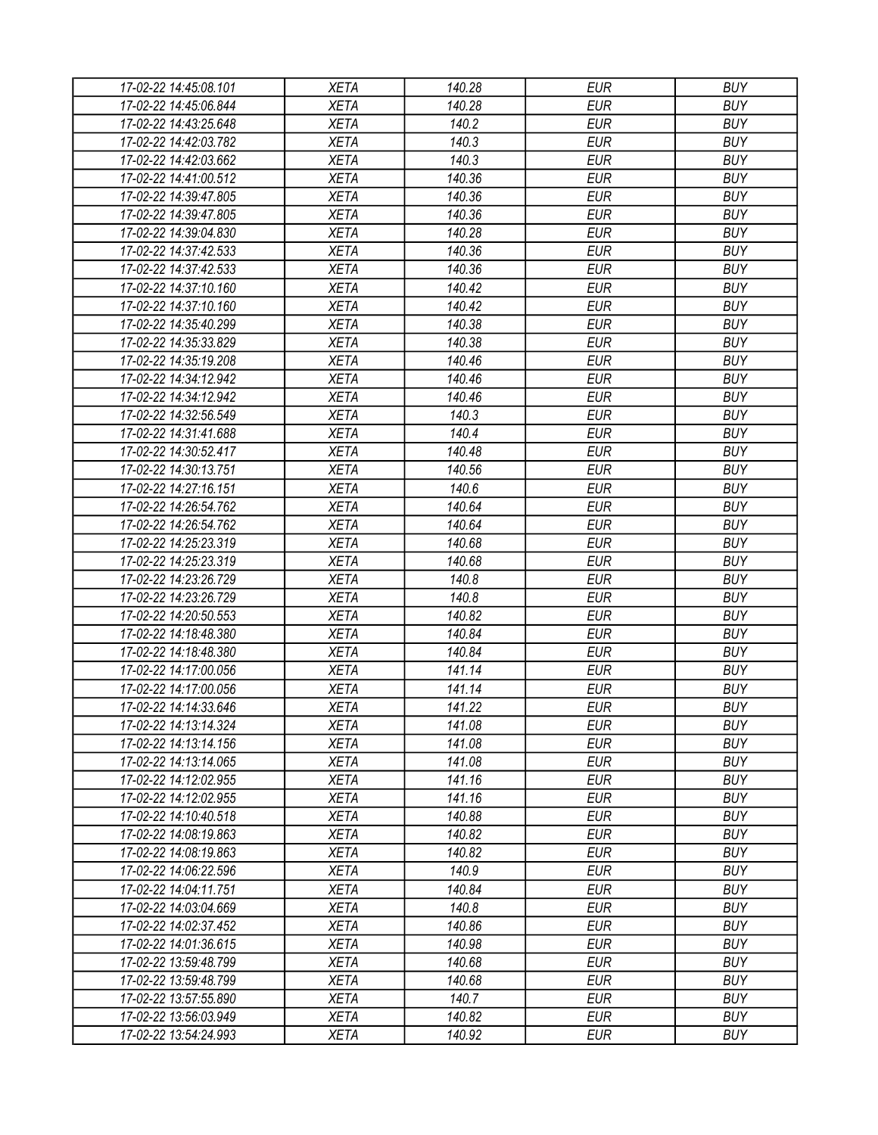| 17-02-22 14:45:08.101 | <b>XETA</b> | 140.28           | <b>EUR</b>               | <b>BUY</b>               |
|-----------------------|-------------|------------------|--------------------------|--------------------------|
| 17-02-22 14:45:06.844 | <b>XETA</b> | 140.28           | <b>EUR</b>               | <b>BUY</b>               |
| 17-02-22 14:43:25.648 | <b>XETA</b> | 140.2            | <b>EUR</b>               | <b>BUY</b>               |
| 17-02-22 14:42:03.782 | <b>XETA</b> | 140.3            | <b>EUR</b>               | <b>BUY</b>               |
| 17-02-22 14:42:03.662 | <b>XETA</b> | 140.3            | <b>EUR</b>               | <b>BUY</b>               |
| 17-02-22 14:41:00.512 | <b>XETA</b> | 140.36           | <b>EUR</b>               | <b>BUY</b>               |
| 17-02-22 14:39:47.805 | <b>XETA</b> | 140.36           | <b>EUR</b>               | <b>BUY</b>               |
| 17-02-22 14:39:47.805 | <b>XETA</b> | 140.36           | <b>EUR</b>               | <b>BUY</b>               |
| 17-02-22 14:39:04.830 | <b>XETA</b> | 140.28           | <b>EUR</b>               | <b>BUY</b>               |
| 17-02-22 14:37:42.533 | <b>XETA</b> | 140.36           | <b>EUR</b>               | <b>BUY</b>               |
| 17-02-22 14:37:42.533 | <b>XETA</b> | 140.36           | <b>EUR</b>               | <b>BUY</b>               |
| 17-02-22 14:37:10.160 | <b>XETA</b> | 140.42           | <b>EUR</b>               | <b>BUY</b>               |
| 17-02-22 14:37:10.160 | <b>XETA</b> | 140.42           | <b>EUR</b>               | <b>BUY</b>               |
| 17-02-22 14:35:40.299 | <b>XETA</b> | 140.38           | <b>EUR</b>               | <b>BUY</b>               |
| 17-02-22 14:35:33.829 | <b>XETA</b> | 140.38           | <b>EUR</b>               | <b>BUY</b>               |
| 17-02-22 14:35:19.208 | <b>XETA</b> | 140.46           | <b>EUR</b>               | <b>BUY</b>               |
| 17-02-22 14:34:12.942 | <b>XETA</b> | 140.46           | <b>EUR</b>               | <b>BUY</b>               |
| 17-02-22 14:34:12.942 | <b>XETA</b> | 140.46           | <b>EUR</b>               | <b>BUY</b>               |
| 17-02-22 14:32:56.549 | <b>XETA</b> | 140.3            | <b>EUR</b>               | <b>BUY</b>               |
| 17-02-22 14:31:41.688 | <b>XETA</b> | 140.4            | <b>EUR</b>               | <b>BUY</b>               |
| 17-02-22 14:30:52.417 | <b>XETA</b> | 140.48           | <b>EUR</b>               | <b>BUY</b>               |
| 17-02-22 14:30:13.751 | <b>XETA</b> | 140.56           | <b>EUR</b>               | <b>BUY</b>               |
| 17-02-22 14:27:16.151 | <b>XETA</b> | 140.6            | <b>EUR</b>               | <b>BUY</b>               |
| 17-02-22 14:26:54.762 | <b>XETA</b> | 140.64           | <b>EUR</b>               | <b>BUY</b>               |
| 17-02-22 14:26:54.762 | <b>XETA</b> | 140.64           | <b>EUR</b>               | <b>BUY</b>               |
| 17-02-22 14:25:23.319 | <b>XETA</b> | 140.68           | <b>EUR</b>               | <b>BUY</b>               |
| 17-02-22 14:25:23.319 | <b>XETA</b> | 140.68           | <b>EUR</b>               | <b>BUY</b>               |
| 17-02-22 14:23:26.729 | <b>XETA</b> | 140.8            | <b>EUR</b>               | <b>BUY</b>               |
| 17-02-22 14:23:26.729 | <b>XETA</b> | 140.8            | <b>EUR</b>               | <b>BUY</b>               |
| 17-02-22 14:20:50.553 | <b>XETA</b> | 140.82           | <b>EUR</b>               | <b>BUY</b>               |
| 17-02-22 14:18:48.380 | <b>XETA</b> | 140.84           | <b>EUR</b>               | <b>BUY</b>               |
| 17-02-22 14:18:48.380 | <b>XETA</b> | 140.84           | <b>EUR</b>               | <b>BUY</b>               |
| 17-02-22 14:17:00.056 | <b>XETA</b> | 141.14           | <b>EUR</b>               | <b>BUY</b>               |
| 17-02-22 14:17:00.056 | <b>XETA</b> | 141.14           | <b>EUR</b>               | <b>BUY</b>               |
|                       |             | 141.22           | <b>EUR</b>               | <b>BUY</b>               |
| 17-02-22 14:14:33.646 | <b>XETA</b> |                  |                          |                          |
| 17-02-22 14:13:14.324 | <b>XETA</b> | 141.08<br>141.08 | <b>EUR</b><br><b>EUR</b> | <b>BUY</b><br><b>BUY</b> |
| 17-02-22 14:13:14.156 | <b>XETA</b> | 141.08           | <b>EUR</b>               | <b>BUY</b>               |
| 17-02-22 14:13:14.065 | <b>XETA</b> |                  |                          |                          |
| 17-02-22 14:12:02.955 | <b>XETA</b> | 141.16           | <b>EUR</b>               | <b>BUY</b><br><b>BUY</b> |
| 17-02-22 14:12:02.955 | <b>XETA</b> | 141.16           | <b>EUR</b>               |                          |
| 17-02-22 14:10:40.518 | <b>XETA</b> | 140.88           | <b>EUR</b>               | <b>BUY</b>               |
| 17-02-22 14:08:19.863 | <b>XETA</b> | 140.82           | <b>EUR</b>               | <b>BUY</b>               |
| 17-02-22 14:08:19.863 | <b>XETA</b> | 140.82           | <b>EUR</b>               | <b>BUY</b>               |
| 17-02-22 14:06:22.596 | <b>XETA</b> | 140.9            | <b>EUR</b>               | <b>BUY</b>               |
| 17-02-22 14:04:11.751 | <b>XETA</b> | 140.84           | <b>EUR</b>               | <b>BUY</b>               |
| 17-02-22 14:03:04.669 | <b>XETA</b> | 140.8            | <b>EUR</b>               | <b>BUY</b>               |
| 17-02-22 14:02:37.452 | <b>XETA</b> | 140.86           | <b>EUR</b>               | <b>BUY</b>               |
| 17-02-22 14:01:36.615 | <b>XETA</b> | 140.98           | <b>EUR</b>               | <b>BUY</b>               |
| 17-02-22 13:59:48.799 | <b>XETA</b> | 140.68           | <b>EUR</b>               | <b>BUY</b>               |
| 17-02-22 13:59:48.799 | <b>XETA</b> | 140.68           | <b>EUR</b>               | <b>BUY</b>               |
| 17-02-22 13:57:55.890 | <b>XETA</b> | 140.7            | <b>EUR</b>               | <b>BUY</b>               |
| 17-02-22 13:56:03.949 | <b>XETA</b> | 140.82           | <b>EUR</b>               | <b>BUY</b>               |
| 17-02-22 13:54:24.993 | <b>XETA</b> | 140.92           | <b>EUR</b>               | <b>BUY</b>               |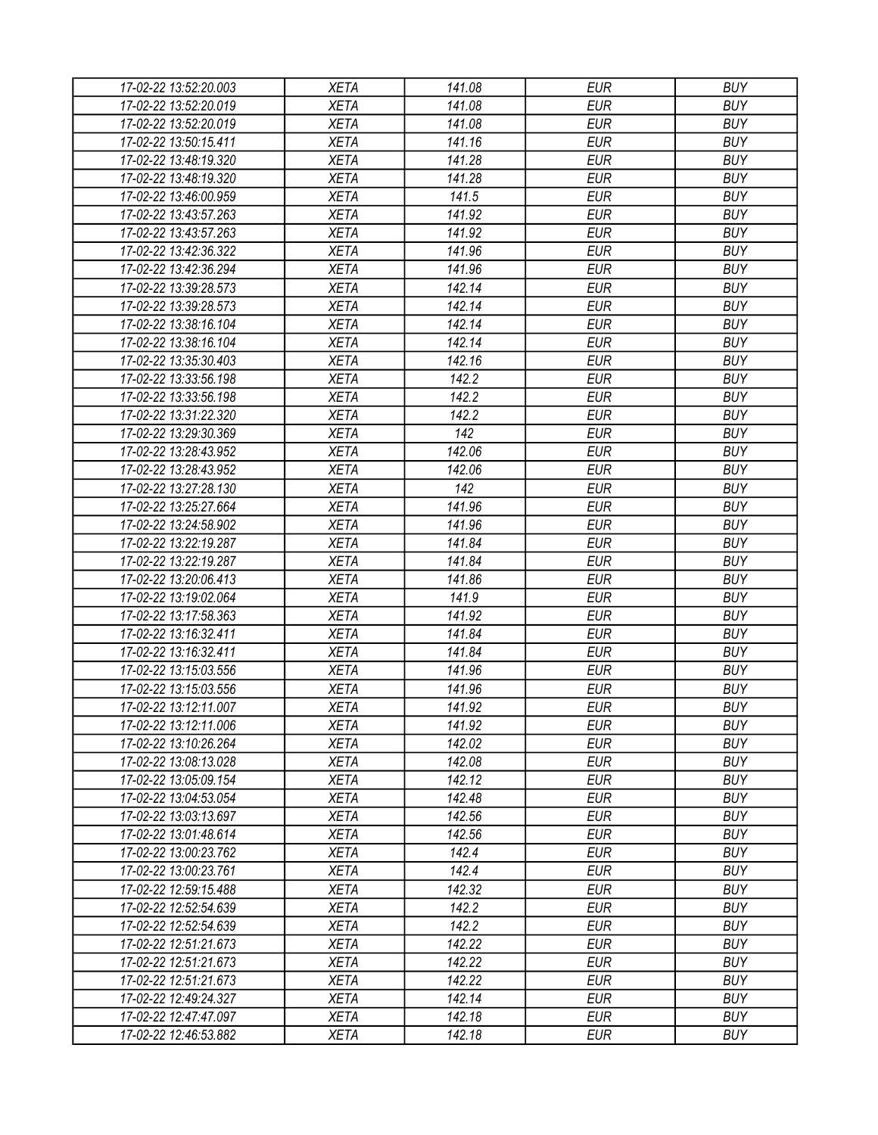| 17-02-22 13:52:20.003 | <b>XETA</b> | 141.08 | <b>EUR</b> | <b>BUY</b> |
|-----------------------|-------------|--------|------------|------------|
| 17-02-22 13:52:20.019 | <b>XETA</b> | 141.08 | <b>EUR</b> | <b>BUY</b> |
| 17-02-22 13:52:20.019 | <b>XETA</b> | 141.08 | <b>EUR</b> | <b>BUY</b> |
| 17-02-22 13:50:15.411 | <b>XETA</b> | 141.16 | <b>EUR</b> | <b>BUY</b> |
| 17-02-22 13:48:19.320 | <b>XETA</b> | 141.28 | <b>EUR</b> | <b>BUY</b> |
| 17-02-22 13:48:19.320 | <b>XETA</b> | 141.28 | <b>EUR</b> | <b>BUY</b> |
| 17-02-22 13:46:00.959 | <b>XETA</b> | 141.5  | <b>EUR</b> | <b>BUY</b> |
| 17-02-22 13:43:57.263 | <b>XETA</b> | 141.92 | <b>EUR</b> | <b>BUY</b> |
| 17-02-22 13:43:57.263 | <b>XETA</b> | 141.92 | <b>EUR</b> | <b>BUY</b> |
| 17-02-22 13:42:36.322 | <b>XETA</b> | 141.96 | <b>EUR</b> | <b>BUY</b> |
| 17-02-22 13:42:36.294 | <b>XETA</b> | 141.96 | <b>EUR</b> | <b>BUY</b> |
| 17-02-22 13:39:28.573 | <b>XETA</b> | 142.14 | <b>EUR</b> | <b>BUY</b> |
| 17-02-22 13:39:28.573 | <b>XETA</b> | 142.14 | <b>EUR</b> | <b>BUY</b> |
| 17-02-22 13:38:16.104 | <b>XETA</b> | 142.14 | <b>EUR</b> | <b>BUY</b> |
| 17-02-22 13:38:16.104 | <b>XETA</b> | 142.14 | <b>EUR</b> | <b>BUY</b> |
| 17-02-22 13:35:30.403 | <b>XETA</b> | 142.16 | <b>EUR</b> | <b>BUY</b> |
| 17-02-22 13:33:56.198 | <b>XETA</b> | 142.2  | <b>EUR</b> | <b>BUY</b> |
| 17-02-22 13:33:56.198 | <b>XETA</b> | 142.2  | <b>EUR</b> | <b>BUY</b> |
| 17-02-22 13:31:22.320 | <b>XETA</b> | 142.2  | <b>EUR</b> | <b>BUY</b> |
| 17-02-22 13:29:30.369 | <b>XETA</b> | 142    | <b>EUR</b> | <b>BUY</b> |
| 17-02-22 13:28:43.952 | <b>XETA</b> | 142.06 | <b>EUR</b> | <b>BUY</b> |
| 17-02-22 13:28:43.952 | <b>XETA</b> | 142.06 | <b>EUR</b> | <b>BUY</b> |
| 17-02-22 13:27:28.130 | <b>XETA</b> | 142    | <b>EUR</b> | <b>BUY</b> |
| 17-02-22 13:25:27.664 | <b>XETA</b> | 141.96 | <b>EUR</b> | <b>BUY</b> |
| 17-02-22 13:24:58.902 | <b>XETA</b> | 141.96 | <b>EUR</b> | <b>BUY</b> |
| 17-02-22 13:22:19.287 | <b>XETA</b> | 141.84 | <b>EUR</b> | <b>BUY</b> |
| 17-02-22 13:22:19.287 | <b>XETA</b> | 141.84 | <b>EUR</b> | <b>BUY</b> |
| 17-02-22 13:20:06.413 | <b>XETA</b> | 141.86 | <b>EUR</b> | <b>BUY</b> |
| 17-02-22 13:19:02.064 | <b>XETA</b> | 141.9  | <b>EUR</b> | <b>BUY</b> |
| 17-02-22 13:17:58.363 | <b>XETA</b> | 141.92 | <b>EUR</b> | <b>BUY</b> |
| 17-02-22 13:16:32.411 | <b>XETA</b> | 141.84 | <b>EUR</b> | <b>BUY</b> |
| 17-02-22 13:16:32.411 | <b>XETA</b> | 141.84 | <b>EUR</b> | <b>BUY</b> |
| 17-02-22 13:15:03.556 | <b>XETA</b> | 141.96 | <b>EUR</b> | <b>BUY</b> |
| 17-02-22 13:15:03.556 | <b>XETA</b> | 141.96 | <b>EUR</b> | <b>BUY</b> |
| 17-02-22 13:12:11.007 | <b>XETA</b> | 141.92 | <b>EUR</b> | <b>BUY</b> |
| 17-02-22 13:12:11.006 | <b>XETA</b> | 141.92 | <b>EUR</b> | <b>BUY</b> |
| 17-02-22 13:10:26.264 | <b>XETA</b> | 142.02 | <b>EUR</b> | <b>BUY</b> |
| 17-02-22 13:08:13.028 | <b>XETA</b> | 142.08 | <b>EUR</b> | <b>BUY</b> |
| 17-02-22 13:05:09.154 | <b>XETA</b> | 142.12 | <b>EUR</b> | <b>BUY</b> |
| 17-02-22 13:04:53.054 | <b>XETA</b> | 142.48 | <b>EUR</b> | <b>BUY</b> |
| 17-02-22 13:03:13.697 | <b>XETA</b> | 142.56 | <b>EUR</b> | <b>BUY</b> |
| 17-02-22 13:01:48.614 | <b>XETA</b> | 142.56 | <b>EUR</b> | <b>BUY</b> |
| 17-02-22 13:00:23.762 | <b>XETA</b> | 142.4  | <b>EUR</b> | <b>BUY</b> |
| 17-02-22 13:00:23.761 | <b>XETA</b> | 142.4  | <b>EUR</b> | <b>BUY</b> |
| 17-02-22 12:59:15.488 | <b>XETA</b> | 142.32 | <b>EUR</b> | <b>BUY</b> |
| 17-02-22 12:52:54.639 | <b>XETA</b> | 142.2  | <b>EUR</b> | <b>BUY</b> |
| 17-02-22 12:52:54.639 | <b>XETA</b> | 142.2  | <b>EUR</b> | <b>BUY</b> |
| 17-02-22 12:51:21.673 | <b>XETA</b> | 142.22 | <b>EUR</b> | <b>BUY</b> |
| 17-02-22 12:51:21.673 | <b>XETA</b> | 142.22 | <b>EUR</b> | <b>BUY</b> |
| 17-02-22 12:51:21.673 | <b>XETA</b> | 142.22 | <b>EUR</b> | <b>BUY</b> |
| 17-02-22 12:49:24.327 | <b>XETA</b> | 142.14 | <b>EUR</b> | <b>BUY</b> |
| 17-02-22 12:47:47.097 | <b>XETA</b> | 142.18 | <b>EUR</b> | <b>BUY</b> |
| 17-02-22 12:46:53.882 | XETA        | 142.18 | <b>EUR</b> | <b>BUY</b> |
|                       |             |        |            |            |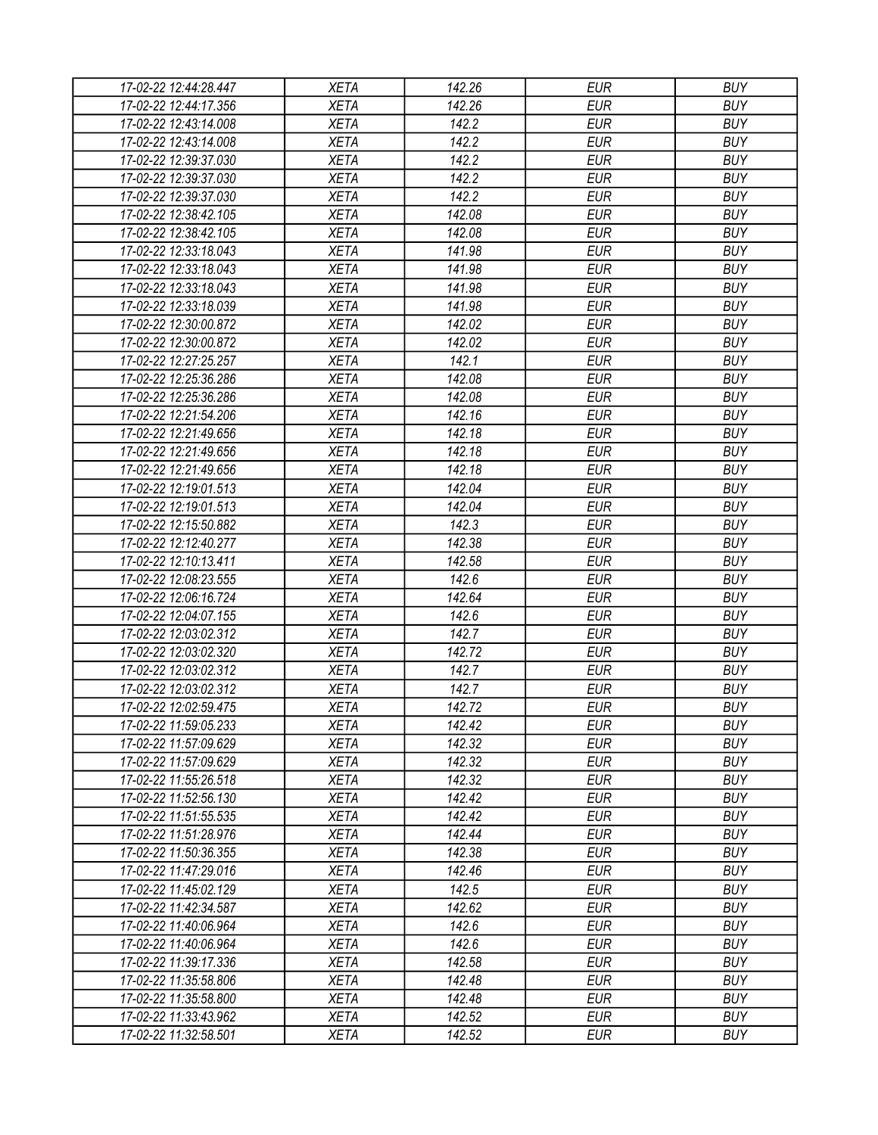| 17-02-22 12:44:28.447 | <b>XETA</b> | 142.26 | <b>EUR</b> | <b>BUY</b> |
|-----------------------|-------------|--------|------------|------------|
| 17-02-22 12:44:17.356 | <b>XETA</b> | 142.26 | <b>EUR</b> | <b>BUY</b> |
| 17-02-22 12:43:14.008 | <b>XETA</b> | 142.2  | <b>EUR</b> | <b>BUY</b> |
| 17-02-22 12:43:14.008 | <b>XETA</b> | 142.2  | <b>EUR</b> | <b>BUY</b> |
| 17-02-22 12:39:37.030 | <b>XETA</b> | 142.2  | <b>EUR</b> | <b>BUY</b> |
| 17-02-22 12:39:37.030 | <b>XETA</b> | 142.2  | <b>EUR</b> | <b>BUY</b> |
| 17-02-22 12:39:37.030 | <b>XETA</b> | 142.2  | <b>EUR</b> | <b>BUY</b> |
| 17-02-22 12:38:42.105 | <b>XETA</b> | 142.08 | <b>EUR</b> | <b>BUY</b> |
| 17-02-22 12:38:42.105 | <b>XETA</b> | 142.08 | <b>EUR</b> | <b>BUY</b> |
| 17-02-22 12:33:18.043 | <b>XETA</b> | 141.98 | <b>EUR</b> | <b>BUY</b> |
| 17-02-22 12:33:18.043 | <b>XETA</b> | 141.98 | <b>EUR</b> | <b>BUY</b> |
| 17-02-22 12:33:18.043 | <b>XETA</b> | 141.98 | <b>EUR</b> | <b>BUY</b> |
| 17-02-22 12:33:18.039 | <b>XETA</b> | 141.98 | <b>EUR</b> | <b>BUY</b> |
| 17-02-22 12:30:00.872 | <b>XETA</b> | 142.02 | <b>EUR</b> | <b>BUY</b> |
| 17-02-22 12:30:00.872 | <b>XETA</b> | 142.02 | <b>EUR</b> | <b>BUY</b> |
| 17-02-22 12:27:25.257 | <b>XETA</b> | 142.1  | <b>EUR</b> | <b>BUY</b> |
| 17-02-22 12:25:36.286 | <b>XETA</b> | 142.08 | <b>EUR</b> | <b>BUY</b> |
| 17-02-22 12:25:36.286 | <b>XETA</b> | 142.08 | <b>EUR</b> | <b>BUY</b> |
| 17-02-22 12:21:54.206 | <b>XETA</b> | 142.16 | <b>EUR</b> | <b>BUY</b> |
| 17-02-22 12:21:49.656 | <b>XETA</b> | 142.18 | <b>EUR</b> | <b>BUY</b> |
| 17-02-22 12:21:49.656 | <b>XETA</b> | 142.18 | <b>EUR</b> | <b>BUY</b> |
| 17-02-22 12:21:49.656 | <b>XETA</b> | 142.18 | <b>EUR</b> | <b>BUY</b> |
| 17-02-22 12:19:01.513 | <b>XETA</b> | 142.04 | <b>EUR</b> | <b>BUY</b> |
| 17-02-22 12:19:01.513 | <b>XETA</b> | 142.04 | <b>EUR</b> | <b>BUY</b> |
| 17-02-22 12:15:50.882 | <b>XETA</b> | 142.3  | <b>EUR</b> | <b>BUY</b> |
| 17-02-22 12:12:40.277 | <b>XETA</b> | 142.38 | <b>EUR</b> | <b>BUY</b> |
| 17-02-22 12:10:13.411 | <b>XETA</b> | 142.58 | <b>EUR</b> | <b>BUY</b> |
| 17-02-22 12:08:23.555 | <b>XETA</b> | 142.6  | <b>EUR</b> | <b>BUY</b> |
| 17-02-22 12:06:16.724 | <b>XETA</b> | 142.64 | <b>EUR</b> | <b>BUY</b> |
| 17-02-22 12:04:07.155 | <b>XETA</b> | 142.6  | <b>EUR</b> | <b>BUY</b> |
| 17-02-22 12:03:02.312 | <b>XETA</b> | 142.7  | <b>EUR</b> | <b>BUY</b> |
| 17-02-22 12:03:02.320 | <b>XETA</b> | 142.72 | <b>EUR</b> | <b>BUY</b> |
| 17-02-22 12:03:02.312 | <b>XETA</b> | 142.7  | <b>EUR</b> | <b>BUY</b> |
| 17-02-22 12:03:02.312 | <b>XETA</b> | 142.7  | <b>EUR</b> | <b>BUY</b> |
| 17-02-22 12:02:59.475 | <b>XETA</b> | 142.72 | <b>EUR</b> | <b>BUY</b> |
|                       | <b>XETA</b> | 142.42 | <b>EUR</b> | <b>BUY</b> |
| 17-02-22 11:59:05.233 |             | 142.32 | <b>EUR</b> | <b>BUY</b> |
| 17-02-22 11:57:09.629 | <b>XETA</b> |        |            |            |
| 17-02-22 11:57:09.629 | <b>XETA</b> | 142.32 | <b>EUR</b> | <b>BUY</b> |
| 17-02-22 11:55:26.518 | <b>XETA</b> | 142.32 | <b>EUR</b> | <b>BUY</b> |
| 17-02-22 11:52:56.130 | <b>XETA</b> | 142.42 | <b>EUR</b> | <b>BUY</b> |
| 17-02-22 11:51:55.535 | <b>XETA</b> | 142.42 | <b>EUR</b> | <b>BUY</b> |
| 17-02-22 11:51:28.976 | <b>XETA</b> | 142.44 | <b>EUR</b> | <b>BUY</b> |
| 17-02-22 11:50:36.355 | <b>XETA</b> | 142.38 | <b>EUR</b> | <b>BUY</b> |
| 17-02-22 11:47:29.016 | <b>XETA</b> | 142.46 | <b>EUR</b> | <b>BUY</b> |
| 17-02-22 11:45:02.129 | <b>XETA</b> | 142.5  | <b>EUR</b> | <b>BUY</b> |
| 17-02-22 11:42:34.587 | <b>XETA</b> | 142.62 | <b>EUR</b> | <b>BUY</b> |
| 17-02-22 11:40:06.964 | <b>XETA</b> | 142.6  | <b>EUR</b> | <b>BUY</b> |
| 17-02-22 11:40:06.964 | <b>XETA</b> | 142.6  | <b>EUR</b> | <b>BUY</b> |
| 17-02-22 11:39:17.336 | <b>XETA</b> | 142.58 | <b>EUR</b> | <b>BUY</b> |
| 17-02-22 11:35:58.806 | <b>XETA</b> | 142.48 | <b>EUR</b> | <b>BUY</b> |
| 17-02-22 11:35:58.800 | <b>XETA</b> | 142.48 | <b>EUR</b> | <b>BUY</b> |
| 17-02-22 11:33:43.962 | <b>XETA</b> | 142.52 | <b>EUR</b> | <b>BUY</b> |
| 17-02-22 11:32:58.501 | XETA        | 142.52 | <b>EUR</b> | <b>BUY</b> |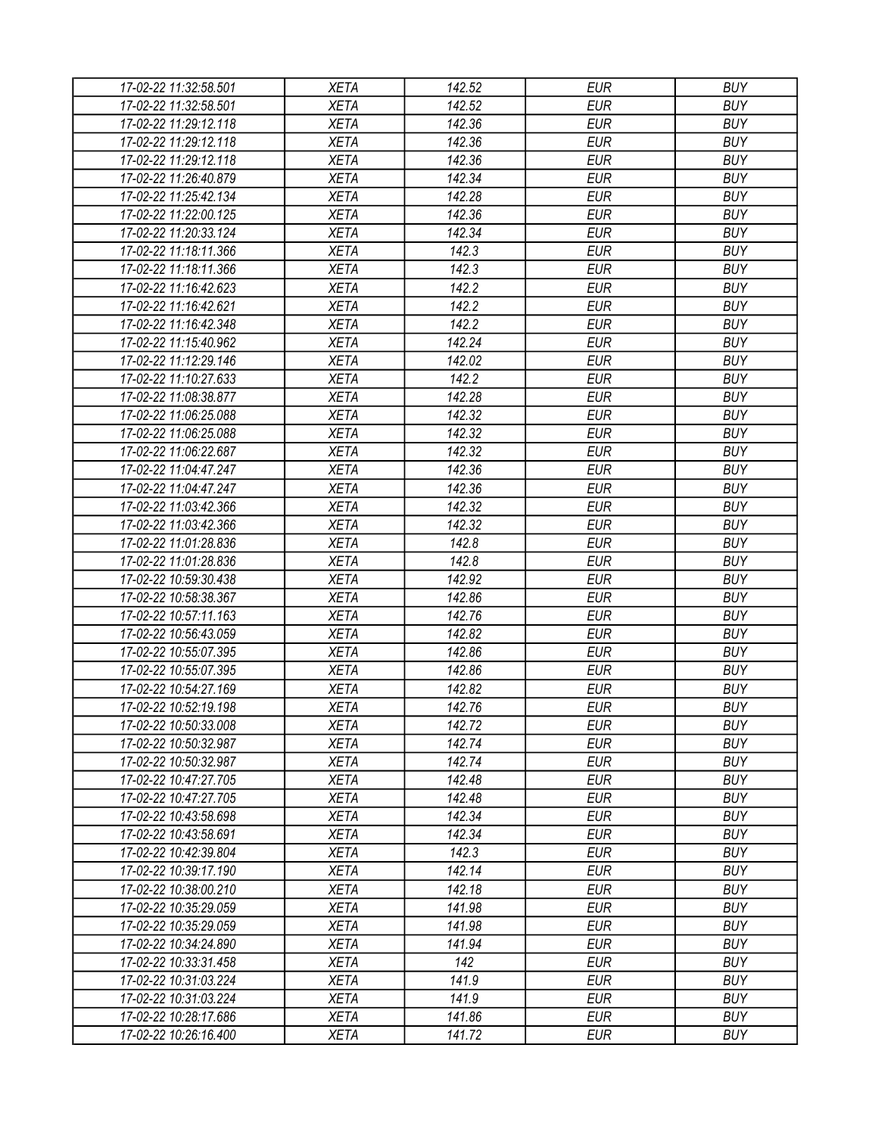| 17-02-22 11:32:58.501 | <b>XETA</b> | 142.52 | <b>EUR</b> | <b>BUY</b> |
|-----------------------|-------------|--------|------------|------------|
| 17-02-22 11:32:58.501 | <b>XETA</b> | 142.52 | <b>EUR</b> | <b>BUY</b> |
| 17-02-22 11:29:12.118 | <b>XETA</b> | 142.36 | <b>EUR</b> | <b>BUY</b> |
| 17-02-22 11:29:12.118 | <b>XETA</b> | 142.36 | <b>EUR</b> | <b>BUY</b> |
| 17-02-22 11:29:12.118 | <b>XETA</b> | 142.36 | <b>EUR</b> | <b>BUY</b> |
| 17-02-22 11:26:40.879 | <b>XETA</b> | 142.34 | <b>EUR</b> | <b>BUY</b> |
| 17-02-22 11:25:42.134 | <b>XETA</b> | 142.28 | <b>EUR</b> | <b>BUY</b> |
| 17-02-22 11:22:00.125 | <b>XETA</b> | 142.36 | <b>EUR</b> | <b>BUY</b> |
| 17-02-22 11:20:33.124 | <b>XETA</b> | 142.34 | <b>EUR</b> | <b>BUY</b> |
| 17-02-22 11:18:11.366 | <b>XETA</b> | 142.3  | <b>EUR</b> | <b>BUY</b> |
| 17-02-22 11:18:11.366 | <b>XETA</b> | 142.3  | <b>EUR</b> | <b>BUY</b> |
| 17-02-22 11:16:42.623 | <b>XETA</b> | 142.2  | <b>EUR</b> | <b>BUY</b> |
| 17-02-22 11:16:42.621 | <b>XETA</b> | 142.2  | <b>EUR</b> | <b>BUY</b> |
| 17-02-22 11:16:42.348 | <b>XETA</b> | 142.2  | <b>EUR</b> | <b>BUY</b> |
| 17-02-22 11:15:40.962 | <b>XETA</b> | 142.24 | <b>EUR</b> | <b>BUY</b> |
| 17-02-22 11:12:29.146 | <b>XETA</b> | 142.02 | <b>EUR</b> | <b>BUY</b> |
| 17-02-22 11:10:27.633 | <b>XETA</b> | 142.2  | <b>EUR</b> | <b>BUY</b> |
| 17-02-22 11:08:38.877 | <b>XETA</b> | 142.28 | <b>EUR</b> | <b>BUY</b> |
| 17-02-22 11:06:25.088 | <b>XETA</b> | 142.32 | <b>EUR</b> | <b>BUY</b> |
| 17-02-22 11:06:25.088 | <b>XETA</b> | 142.32 | <b>EUR</b> | <b>BUY</b> |
| 17-02-22 11:06:22.687 | <b>XETA</b> | 142.32 | <b>EUR</b> | <b>BUY</b> |
| 17-02-22 11:04:47.247 | <b>XETA</b> | 142.36 | <b>EUR</b> | <b>BUY</b> |
| 17-02-22 11:04:47.247 | <b>XETA</b> | 142.36 | <b>EUR</b> | <b>BUY</b> |
| 17-02-22 11:03:42.366 | <b>XETA</b> | 142.32 | <b>EUR</b> | <b>BUY</b> |
| 17-02-22 11:03:42.366 | <b>XETA</b> | 142.32 | <b>EUR</b> | <b>BUY</b> |
| 17-02-22 11:01:28.836 | <b>XETA</b> | 142.8  | <b>EUR</b> | <b>BUY</b> |
| 17-02-22 11:01:28.836 | <b>XETA</b> | 142.8  | <b>EUR</b> | <b>BUY</b> |
| 17-02-22 10:59:30.438 | <b>XETA</b> | 142.92 | <b>EUR</b> | <b>BUY</b> |
| 17-02-22 10:58:38.367 | <b>XETA</b> | 142.86 | <b>EUR</b> | <b>BUY</b> |
| 17-02-22 10:57:11.163 | <b>XETA</b> | 142.76 | <b>EUR</b> | <b>BUY</b> |
| 17-02-22 10:56:43.059 | <b>XETA</b> | 142.82 | <b>EUR</b> | <b>BUY</b> |
| 17-02-22 10:55:07.395 | <b>XETA</b> | 142.86 | <b>EUR</b> | <b>BUY</b> |
| 17-02-22 10:55:07.395 | <b>XETA</b> | 142.86 | <b>EUR</b> | <b>BUY</b> |
| 17-02-22 10:54:27.169 | <b>XETA</b> | 142.82 | <b>EUR</b> | <b>BUY</b> |
| 17-02-22 10:52:19.198 | <b>XETA</b> | 142.76 | <b>EUR</b> | <b>BUY</b> |
| 17-02-22 10:50:33.008 | <b>XETA</b> | 142.72 | <b>EUR</b> | <b>BUY</b> |
| 17-02-22 10:50:32.987 | <b>XETA</b> | 142.74 | <b>EUR</b> | <b>BUY</b> |
| 17-02-22 10:50:32.987 | <b>XETA</b> | 142.74 | <b>EUR</b> | <b>BUY</b> |
| 17-02-22 10:47:27.705 | <b>XETA</b> | 142.48 | <b>EUR</b> | <b>BUY</b> |
| 17-02-22 10:47:27.705 | <b>XETA</b> | 142.48 | <b>EUR</b> | <b>BUY</b> |
| 17-02-22 10:43:58.698 | <b>XETA</b> | 142.34 | <b>EUR</b> | <b>BUY</b> |
| 17-02-22 10:43:58.691 | <b>XETA</b> | 142.34 | <b>EUR</b> | <b>BUY</b> |
| 17-02-22 10:42:39.804 | <b>XETA</b> | 142.3  | <b>EUR</b> | <b>BUY</b> |
| 17-02-22 10:39:17.190 | <b>XETA</b> | 142.14 | <b>EUR</b> | <b>BUY</b> |
| 17-02-22 10:38:00.210 | <b>XETA</b> | 142.18 | <b>EUR</b> | <b>BUY</b> |
| 17-02-22 10:35:29.059 | <b>XETA</b> | 141.98 | <b>EUR</b> | <b>BUY</b> |
| 17-02-22 10:35:29.059 | <b>XETA</b> | 141.98 | <b>EUR</b> | <b>BUY</b> |
| 17-02-22 10:34:24.890 | <b>XETA</b> | 141.94 | <b>EUR</b> | <b>BUY</b> |
| 17-02-22 10:33:31.458 | <b>XETA</b> | 142    | <b>EUR</b> | <b>BUY</b> |
| 17-02-22 10:31:03.224 | <b>XETA</b> | 141.9  | <b>EUR</b> | <b>BUY</b> |
| 17-02-22 10:31:03.224 | <b>XETA</b> | 141.9  | <b>EUR</b> | <b>BUY</b> |
| 17-02-22 10:28:17.686 | <b>XETA</b> | 141.86 | <b>EUR</b> | <b>BUY</b> |
| 17-02-22 10:26:16.400 | <b>XETA</b> | 141.72 | <b>EUR</b> | <b>BUY</b> |
|                       |             |        |            |            |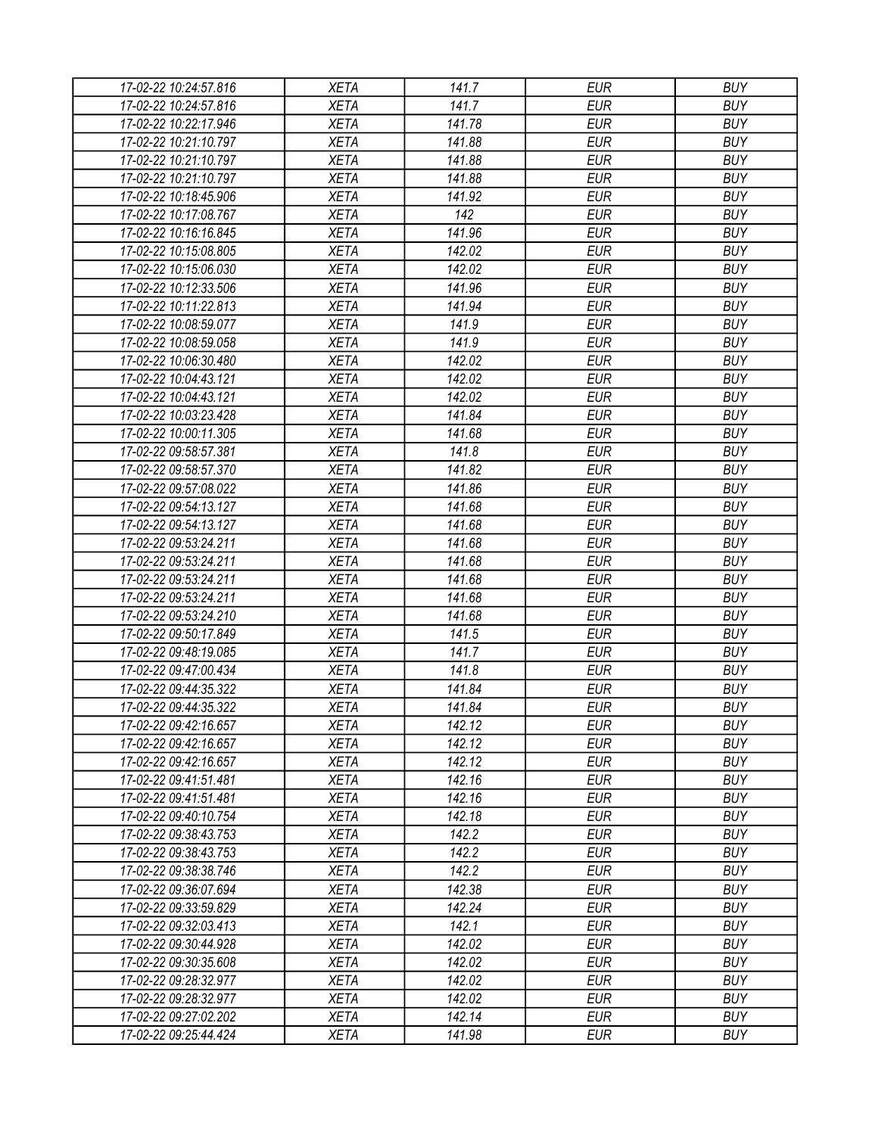| 17-02-22 10:24:57.816 | <b>XETA</b> | 141.7  | <b>EUR</b> | <b>BUY</b> |
|-----------------------|-------------|--------|------------|------------|
| 17-02-22 10:24:57.816 | <b>XETA</b> | 141.7  | <b>EUR</b> | <b>BUY</b> |
| 17-02-22 10:22:17.946 | <b>XETA</b> | 141.78 | <b>EUR</b> | <b>BUY</b> |
| 17-02-22 10:21:10.797 | <b>XETA</b> | 141.88 | <b>EUR</b> | <b>BUY</b> |
| 17-02-22 10:21:10.797 | <b>XETA</b> | 141.88 | <b>EUR</b> | <b>BUY</b> |
| 17-02-22 10:21:10.797 | <b>XETA</b> | 141.88 | <b>EUR</b> | <b>BUY</b> |
| 17-02-22 10:18:45.906 | <b>XETA</b> | 141.92 | <b>EUR</b> | <b>BUY</b> |
| 17-02-22 10:17:08.767 | <b>XETA</b> | 142    | <b>EUR</b> | <b>BUY</b> |
| 17-02-22 10:16:16.845 | <b>XETA</b> | 141.96 | <b>EUR</b> | <b>BUY</b> |
| 17-02-22 10:15:08.805 | <b>XETA</b> | 142.02 | <b>EUR</b> | <b>BUY</b> |
| 17-02-22 10:15:06.030 | <b>XETA</b> | 142.02 | <b>EUR</b> | <b>BUY</b> |
| 17-02-22 10:12:33.506 | <b>XETA</b> | 141.96 | <b>EUR</b> | <b>BUY</b> |
| 17-02-22 10:11:22.813 | <b>XETA</b> | 141.94 | <b>EUR</b> | <b>BUY</b> |
| 17-02-22 10:08:59.077 | <b>XETA</b> | 141.9  | <b>EUR</b> | <b>BUY</b> |
| 17-02-22 10:08:59.058 | <b>XETA</b> | 141.9  | <b>EUR</b> | <b>BUY</b> |
| 17-02-22 10:06:30.480 | <b>XETA</b> | 142.02 | <b>EUR</b> | <b>BUY</b> |
| 17-02-22 10:04:43.121 | <b>XETA</b> | 142.02 | <b>EUR</b> | <b>BUY</b> |
| 17-02-22 10:04:43.121 | <b>XETA</b> | 142.02 | <b>EUR</b> | <b>BUY</b> |
| 17-02-22 10:03:23.428 | <b>XETA</b> | 141.84 | <b>EUR</b> | <b>BUY</b> |
| 17-02-22 10:00:11.305 | <b>XETA</b> | 141.68 | <b>EUR</b> | <b>BUY</b> |
| 17-02-22 09:58:57.381 | <b>XETA</b> | 141.8  | <b>EUR</b> | <b>BUY</b> |
| 17-02-22 09:58:57.370 | <b>XETA</b> | 141.82 | <b>EUR</b> | <b>BUY</b> |
| 17-02-22 09:57:08.022 | <b>XETA</b> | 141.86 | <b>EUR</b> | <b>BUY</b> |
|                       |             |        |            |            |
| 17-02-22 09:54:13.127 | <b>XETA</b> | 141.68 | <b>EUR</b> | <b>BUY</b> |
| 17-02-22 09:54:13.127 | <b>XETA</b> | 141.68 | <b>EUR</b> | <b>BUY</b> |
| 17-02-22 09:53:24.211 | <b>XETA</b> | 141.68 | <b>EUR</b> | <b>BUY</b> |
| 17-02-22 09:53:24.211 | <b>XETA</b> | 141.68 | <b>EUR</b> | <b>BUY</b> |
| 17-02-22 09:53:24.211 | <b>XETA</b> | 141.68 | <b>EUR</b> | <b>BUY</b> |
| 17-02-22 09:53:24.211 | <b>XETA</b> | 141.68 | <b>EUR</b> | <b>BUY</b> |
| 17-02-22 09:53:24.210 | <b>XETA</b> | 141.68 | <b>EUR</b> | <b>BUY</b> |
| 17-02-22 09:50:17.849 | <b>XETA</b> | 141.5  | <b>EUR</b> | <b>BUY</b> |
| 17-02-22 09:48:19.085 | <b>XETA</b> | 141.7  | <b>EUR</b> | <b>BUY</b> |
| 17-02-22 09:47:00.434 | <b>XETA</b> | 141.8  | <b>EUR</b> | <b>BUY</b> |
| 17-02-22 09:44:35.322 | <b>XETA</b> | 141.84 | <b>EUR</b> | <b>BUY</b> |
| 17-02-22 09:44:35.322 | <b>XETA</b> | 141.84 | <b>EUR</b> | <b>BUY</b> |
| 17-02-22 09:42:16.657 | <b>XETA</b> | 142.12 | <b>EUR</b> | <b>BUY</b> |
| 17-02-22 09:42:16.657 | <b>XETA</b> | 142.12 | <b>EUR</b> | <b>BUY</b> |
| 17-02-22 09:42:16.657 | <b>XETA</b> | 142.12 | <b>EUR</b> | <b>BUY</b> |
| 17-02-22 09:41:51.481 | <b>XETA</b> | 142.16 | <b>EUR</b> | <b>BUY</b> |
| 17-02-22 09:41:51.481 | <b>XETA</b> | 142.16 | <b>EUR</b> | <b>BUY</b> |
| 17-02-22 09:40:10.754 | <b>XETA</b> | 142.18 | <b>EUR</b> | <b>BUY</b> |
| 17-02-22 09:38:43.753 | <b>XETA</b> | 142.2  | <b>EUR</b> | <b>BUY</b> |
| 17-02-22 09:38:43.753 | <b>XETA</b> | 142.2  | <b>EUR</b> | <b>BUY</b> |
| 17-02-22 09:38:38.746 | <b>XETA</b> | 142.2  | <b>EUR</b> | <b>BUY</b> |
| 17-02-22 09:36:07.694 | <b>XETA</b> | 142.38 | <b>EUR</b> | <b>BUY</b> |
| 17-02-22 09:33:59.829 | <b>XETA</b> | 142.24 | <b>EUR</b> | <b>BUY</b> |
| 17-02-22 09:32:03.413 | <b>XETA</b> | 142.1  | <b>EUR</b> | <b>BUY</b> |
| 17-02-22 09:30:44.928 | <b>XETA</b> | 142.02 | <b>EUR</b> | <b>BUY</b> |
| 17-02-22 09:30:35.608 | <b>XETA</b> | 142.02 | <b>EUR</b> | <b>BUY</b> |
| 17-02-22 09:28:32.977 | <b>XETA</b> | 142.02 | <b>EUR</b> | <b>BUY</b> |
| 17-02-22 09:28:32.977 | <b>XETA</b> | 142.02 | <b>EUR</b> | <b>BUY</b> |
| 17-02-22 09:27:02.202 | XETA        | 142.14 | <b>EUR</b> | <b>BUY</b> |
| 17-02-22 09:25:44.424 | <b>XETA</b> | 141.98 | <b>EUR</b> | <b>BUY</b> |
|                       |             |        |            |            |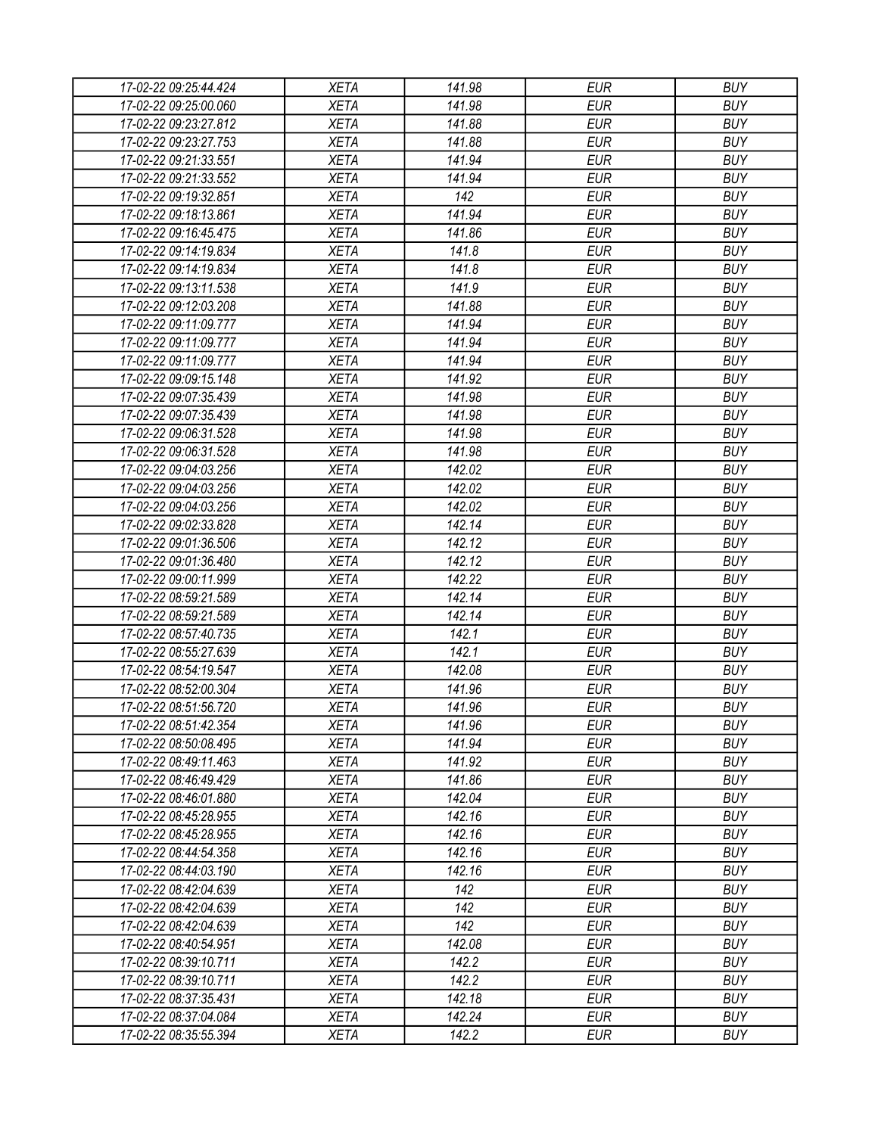| 17-02-22 09:25:44.424 | <b>XETA</b> | 141.98 | <b>EUR</b> | <b>BUY</b> |
|-----------------------|-------------|--------|------------|------------|
| 17-02-22 09:25:00.060 | <b>XETA</b> | 141.98 | <b>EUR</b> | <b>BUY</b> |
| 17-02-22 09:23:27.812 | <b>XETA</b> | 141.88 | <b>EUR</b> | <b>BUY</b> |
| 17-02-22 09:23:27.753 | <b>XETA</b> | 141.88 | <b>EUR</b> | <b>BUY</b> |
| 17-02-22 09:21:33.551 | <b>XETA</b> | 141.94 | <b>EUR</b> | <b>BUY</b> |
| 17-02-22 09:21:33.552 | <b>XETA</b> | 141.94 | <b>EUR</b> | <b>BUY</b> |
| 17-02-22 09:19:32.851 | <b>XETA</b> | 142    | <b>EUR</b> | <b>BUY</b> |
| 17-02-22 09:18:13.861 | <b>XETA</b> | 141.94 | <b>EUR</b> | <b>BUY</b> |
| 17-02-22 09:16:45.475 | <b>XETA</b> | 141.86 | <b>EUR</b> | <b>BUY</b> |
| 17-02-22 09:14:19.834 | <b>XETA</b> | 141.8  | <b>EUR</b> | <b>BUY</b> |
| 17-02-22 09:14:19.834 | <b>XETA</b> | 141.8  | <b>EUR</b> | <b>BUY</b> |
| 17-02-22 09:13:11.538 | <b>XETA</b> | 141.9  | <b>EUR</b> | <b>BUY</b> |
| 17-02-22 09:12:03.208 | <b>XETA</b> | 141.88 | <b>EUR</b> | <b>BUY</b> |
| 17-02-22 09:11:09.777 | <b>XETA</b> | 141.94 | <b>EUR</b> | <b>BUY</b> |
| 17-02-22 09:11:09.777 | <b>XETA</b> | 141.94 | <b>EUR</b> | <b>BUY</b> |
| 17-02-22 09:11:09.777 | <b>XETA</b> | 141.94 | <b>EUR</b> | <b>BUY</b> |
| 17-02-22 09:09:15.148 | <b>XETA</b> | 141.92 | <b>EUR</b> | <b>BUY</b> |
| 17-02-22 09:07:35.439 | <b>XETA</b> | 141.98 | <b>EUR</b> | <b>BUY</b> |
| 17-02-22 09:07:35.439 | <b>XETA</b> | 141.98 | <b>EUR</b> | <b>BUY</b> |
|                       |             |        |            |            |
| 17-02-22 09:06:31.528 | <b>XETA</b> | 141.98 | <b>EUR</b> | <b>BUY</b> |
| 17-02-22 09:06:31.528 | <b>XETA</b> | 141.98 | <b>EUR</b> | <b>BUY</b> |
| 17-02-22 09:04:03.256 | <b>XETA</b> | 142.02 | <b>EUR</b> | <b>BUY</b> |
| 17-02-22 09:04:03.256 | <b>XETA</b> | 142.02 | <b>EUR</b> | <b>BUY</b> |
| 17-02-22 09:04:03.256 | <b>XETA</b> | 142.02 | <b>EUR</b> | <b>BUY</b> |
| 17-02-22 09:02:33.828 | <b>XETA</b> | 142.14 | <b>EUR</b> | <b>BUY</b> |
| 17-02-22 09:01:36.506 | <b>XETA</b> | 142.12 | <b>EUR</b> | <b>BUY</b> |
| 17-02-22 09:01:36.480 | <b>XETA</b> | 142.12 | <b>EUR</b> | <b>BUY</b> |
| 17-02-22 09:00:11.999 | <b>XETA</b> | 142.22 | <b>EUR</b> | <b>BUY</b> |
| 17-02-22 08:59:21.589 | <b>XETA</b> | 142.14 | <b>EUR</b> | <b>BUY</b> |
| 17-02-22 08:59:21.589 | <b>XETA</b> | 142.14 | <b>EUR</b> | <b>BUY</b> |
| 17-02-22 08:57:40.735 | <b>XETA</b> | 142.1  | <b>EUR</b> | <b>BUY</b> |
| 17-02-22 08:55:27.639 | <b>XETA</b> | 142.1  | <b>EUR</b> | <b>BUY</b> |
| 17-02-22 08:54:19.547 | <b>XETA</b> | 142.08 | <b>EUR</b> | <b>BUY</b> |
| 17-02-22 08:52:00.304 | <b>XETA</b> | 141.96 | <b>EUR</b> | <b>BUY</b> |
| 17-02-22 08:51:56.720 | <b>XETA</b> | 141.96 | <b>EUR</b> | <b>BUY</b> |
| 17-02-22 08:51:42.354 | <b>XETA</b> | 141.96 | <b>EUR</b> | <b>BUY</b> |
| 17-02-22 08:50:08.495 | <b>XETA</b> | 141.94 | <b>EUR</b> | <b>BUY</b> |
| 17-02-22 08:49:11.463 | <b>XETA</b> | 141.92 | <b>EUR</b> | <b>BUY</b> |
| 17-02-22 08:46:49.429 | <b>XETA</b> | 141.86 | <b>EUR</b> | <b>BUY</b> |
| 17-02-22 08:46:01.880 | <b>XETA</b> | 142.04 | <b>EUR</b> | <b>BUY</b> |
| 17-02-22 08:45:28.955 | <b>XETA</b> | 142.16 | <b>EUR</b> | <b>BUY</b> |
| 17-02-22 08:45:28.955 | <b>XETA</b> | 142.16 | <b>EUR</b> | <b>BUY</b> |
| 17-02-22 08:44:54.358 | <b>XETA</b> | 142.16 | <b>EUR</b> | <b>BUY</b> |
| 17-02-22 08:44:03.190 | <b>XETA</b> | 142.16 | <b>EUR</b> | <b>BUY</b> |
| 17-02-22 08:42:04.639 | <b>XETA</b> | 142    | <b>EUR</b> | <b>BUY</b> |
| 17-02-22 08:42:04.639 | <b>XETA</b> | 142    | <b>EUR</b> | <b>BUY</b> |
| 17-02-22 08:42:04.639 | <b>XETA</b> | 142    | <b>EUR</b> | <b>BUY</b> |
| 17-02-22 08:40:54.951 | <b>XETA</b> | 142.08 | <b>EUR</b> | <b>BUY</b> |
| 17-02-22 08:39:10.711 | <b>XETA</b> | 142.2  | <b>EUR</b> | <b>BUY</b> |
| 17-02-22 08:39:10.711 | <b>XETA</b> | 142.2  | <b>EUR</b> | <b>BUY</b> |
| 17-02-22 08:37:35.431 | <b>XETA</b> | 142.18 | <b>EUR</b> | <b>BUY</b> |
| 17-02-22 08:37:04.084 | XETA        | 142.24 | <b>EUR</b> | <b>BUY</b> |
| 17-02-22 08:35:55.394 | <b>XETA</b> | 142.2  | <b>EUR</b> | <b>BUY</b> |
|                       |             |        |            |            |